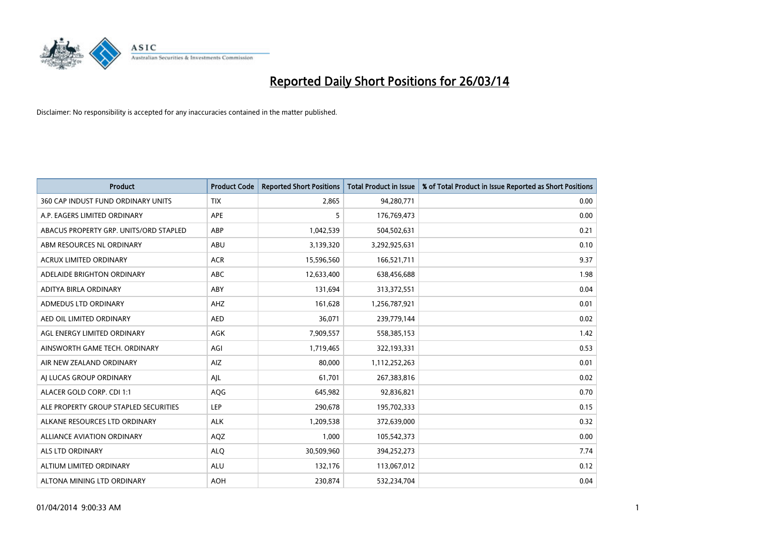

| <b>Product</b>                         | <b>Product Code</b> | <b>Reported Short Positions</b> | <b>Total Product in Issue</b> | % of Total Product in Issue Reported as Short Positions |
|----------------------------------------|---------------------|---------------------------------|-------------------------------|---------------------------------------------------------|
| 360 CAP INDUST FUND ORDINARY UNITS     | <b>TIX</b>          | 2,865                           | 94,280,771                    | 0.00                                                    |
| A.P. EAGERS LIMITED ORDINARY           | APE                 | 5                               | 176,769,473                   | 0.00                                                    |
| ABACUS PROPERTY GRP. UNITS/ORD STAPLED | ABP                 | 1,042,539                       | 504,502,631                   | 0.21                                                    |
| ABM RESOURCES NL ORDINARY              | ABU                 | 3,139,320                       | 3,292,925,631                 | 0.10                                                    |
| <b>ACRUX LIMITED ORDINARY</b>          | <b>ACR</b>          | 15,596,560                      | 166,521,711                   | 9.37                                                    |
| ADELAIDE BRIGHTON ORDINARY             | <b>ABC</b>          | 12,633,400                      | 638,456,688                   | 1.98                                                    |
| ADITYA BIRLA ORDINARY                  | ABY                 | 131,694                         | 313,372,551                   | 0.04                                                    |
| ADMEDUS LTD ORDINARY                   | AHZ                 | 161,628                         | 1,256,787,921                 | 0.01                                                    |
| AED OIL LIMITED ORDINARY               | <b>AED</b>          | 36,071                          | 239,779,144                   | 0.02                                                    |
| AGL ENERGY LIMITED ORDINARY            | AGK                 | 7,909,557                       | 558,385,153                   | 1.42                                                    |
| AINSWORTH GAME TECH. ORDINARY          | AGI                 | 1,719,465                       | 322,193,331                   | 0.53                                                    |
| AIR NEW ZEALAND ORDINARY               | AIZ                 | 80,000                          | 1,112,252,263                 | 0.01                                                    |
| AJ LUCAS GROUP ORDINARY                | AJL                 | 61,701                          | 267,383,816                   | 0.02                                                    |
| ALACER GOLD CORP. CDI 1:1              | AQG                 | 645,982                         | 92,836,821                    | 0.70                                                    |
| ALE PROPERTY GROUP STAPLED SECURITIES  | <b>LEP</b>          | 290,678                         | 195,702,333                   | 0.15                                                    |
| ALKANE RESOURCES LTD ORDINARY          | <b>ALK</b>          | 1,209,538                       | 372,639,000                   | 0.32                                                    |
| ALLIANCE AVIATION ORDINARY             | AQZ                 | 1,000                           | 105,542,373                   | 0.00                                                    |
| ALS LTD ORDINARY                       | <b>ALQ</b>          | 30,509,960                      | 394,252,273                   | 7.74                                                    |
| ALTIUM LIMITED ORDINARY                | <b>ALU</b>          | 132,176                         | 113,067,012                   | 0.12                                                    |
| ALTONA MINING LTD ORDINARY             | <b>AOH</b>          | 230,874                         | 532,234,704                   | 0.04                                                    |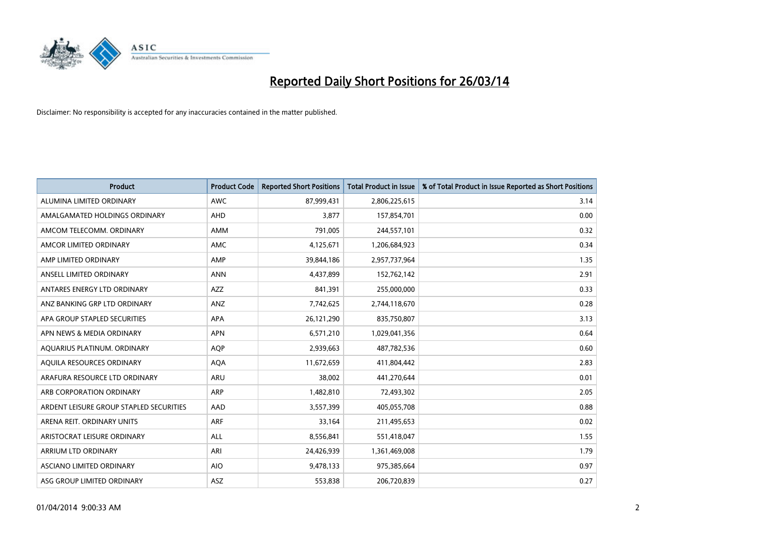

| <b>Product</b>                          | <b>Product Code</b> | <b>Reported Short Positions</b> | <b>Total Product in Issue</b> | % of Total Product in Issue Reported as Short Positions |
|-----------------------------------------|---------------------|---------------------------------|-------------------------------|---------------------------------------------------------|
| ALUMINA LIMITED ORDINARY                | <b>AWC</b>          | 87,999,431                      | 2,806,225,615                 | 3.14                                                    |
| AMALGAMATED HOLDINGS ORDINARY           | <b>AHD</b>          | 3,877                           | 157,854,701                   | 0.00                                                    |
| AMCOM TELECOMM. ORDINARY                | AMM                 | 791,005                         | 244,557,101                   | 0.32                                                    |
| AMCOR LIMITED ORDINARY                  | AMC                 | 4,125,671                       | 1,206,684,923                 | 0.34                                                    |
| AMP LIMITED ORDINARY                    | AMP                 | 39,844,186                      | 2,957,737,964                 | 1.35                                                    |
| ANSELL LIMITED ORDINARY                 | <b>ANN</b>          | 4,437,899                       | 152,762,142                   | 2.91                                                    |
| ANTARES ENERGY LTD ORDINARY             | AZZ                 | 841,391                         | 255,000,000                   | 0.33                                                    |
| ANZ BANKING GRP LTD ORDINARY            | ANZ                 | 7,742,625                       | 2,744,118,670                 | 0.28                                                    |
| APA GROUP STAPLED SECURITIES            | <b>APA</b>          | 26,121,290                      | 835,750,807                   | 3.13                                                    |
| APN NEWS & MEDIA ORDINARY               | <b>APN</b>          | 6,571,210                       | 1,029,041,356                 | 0.64                                                    |
| AQUARIUS PLATINUM. ORDINARY             | AQP                 | 2,939,663                       | 487,782,536                   | 0.60                                                    |
| AOUILA RESOURCES ORDINARY               | <b>AQA</b>          | 11,672,659                      | 411,804,442                   | 2.83                                                    |
| ARAFURA RESOURCE LTD ORDINARY           | <b>ARU</b>          | 38,002                          | 441,270,644                   | 0.01                                                    |
| ARB CORPORATION ORDINARY                | <b>ARP</b>          | 1,482,810                       | 72,493,302                    | 2.05                                                    |
| ARDENT LEISURE GROUP STAPLED SECURITIES | AAD                 | 3,557,399                       | 405,055,708                   | 0.88                                                    |
| ARENA REIT. ORDINARY UNITS              | <b>ARF</b>          | 33,164                          | 211,495,653                   | 0.02                                                    |
| ARISTOCRAT LEISURE ORDINARY             | ALL                 | 8,556,841                       | 551,418,047                   | 1.55                                                    |
| ARRIUM LTD ORDINARY                     | ARI                 | 24,426,939                      | 1,361,469,008                 | 1.79                                                    |
| ASCIANO LIMITED ORDINARY                | <b>AIO</b>          | 9,478,133                       | 975,385,664                   | 0.97                                                    |
| ASG GROUP LIMITED ORDINARY              | ASZ                 | 553,838                         | 206,720,839                   | 0.27                                                    |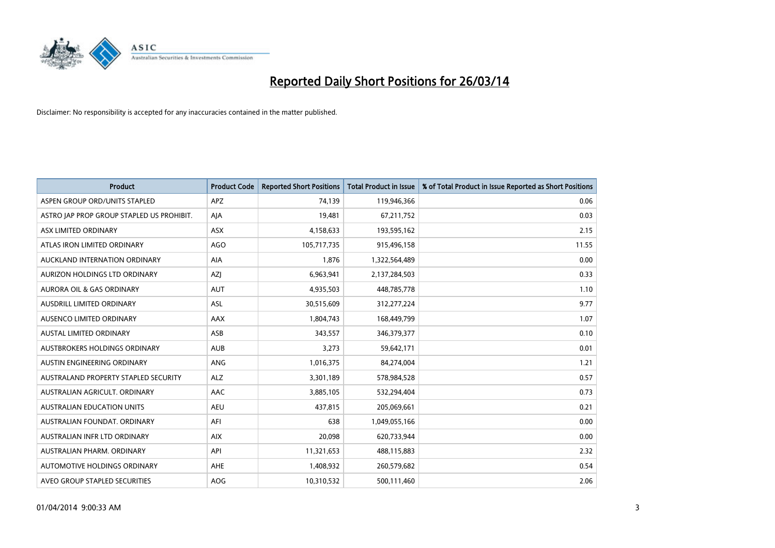

| <b>Product</b>                            | <b>Product Code</b> | <b>Reported Short Positions</b> | <b>Total Product in Issue</b> | % of Total Product in Issue Reported as Short Positions |
|-------------------------------------------|---------------------|---------------------------------|-------------------------------|---------------------------------------------------------|
| ASPEN GROUP ORD/UNITS STAPLED             | <b>APZ</b>          | 74,139                          | 119,946,366                   | 0.06                                                    |
| ASTRO JAP PROP GROUP STAPLED US PROHIBIT. | AJA                 | 19,481                          | 67,211,752                    | 0.03                                                    |
| ASX LIMITED ORDINARY                      | <b>ASX</b>          | 4,158,633                       | 193,595,162                   | 2.15                                                    |
| ATLAS IRON LIMITED ORDINARY               | AGO                 | 105,717,735                     | 915,496,158                   | 11.55                                                   |
| AUCKLAND INTERNATION ORDINARY             | AIA                 | 1,876                           | 1,322,564,489                 | 0.00                                                    |
| AURIZON HOLDINGS LTD ORDINARY             | AZJ                 | 6,963,941                       | 2,137,284,503                 | 0.33                                                    |
| AURORA OIL & GAS ORDINARY                 | <b>AUT</b>          | 4,935,503                       | 448,785,778                   | 1.10                                                    |
| AUSDRILL LIMITED ORDINARY                 | ASL                 | 30,515,609                      | 312,277,224                   | 9.77                                                    |
| AUSENCO LIMITED ORDINARY                  | AAX                 | 1,804,743                       | 168,449,799                   | 1.07                                                    |
| <b>AUSTAL LIMITED ORDINARY</b>            | ASB                 | 343,557                         | 346,379,377                   | 0.10                                                    |
| AUSTBROKERS HOLDINGS ORDINARY             | <b>AUB</b>          | 3,273                           | 59,642,171                    | 0.01                                                    |
| AUSTIN ENGINEERING ORDINARY               | ANG                 | 1,016,375                       | 84,274,004                    | 1.21                                                    |
| AUSTRALAND PROPERTY STAPLED SECURITY      | <b>ALZ</b>          | 3,301,189                       | 578,984,528                   | 0.57                                                    |
| AUSTRALIAN AGRICULT, ORDINARY             | AAC                 | 3,885,105                       | 532,294,404                   | 0.73                                                    |
| <b>AUSTRALIAN EDUCATION UNITS</b>         | <b>AEU</b>          | 437,815                         | 205,069,661                   | 0.21                                                    |
| AUSTRALIAN FOUNDAT. ORDINARY              | AFI                 | 638                             | 1,049,055,166                 | 0.00                                                    |
| AUSTRALIAN INFR LTD ORDINARY              | <b>AIX</b>          | 20,098                          | 620,733,944                   | 0.00                                                    |
| AUSTRALIAN PHARM. ORDINARY                | API                 | 11,321,653                      | 488,115,883                   | 2.32                                                    |
| AUTOMOTIVE HOLDINGS ORDINARY              | AHE                 | 1,408,932                       | 260,579,682                   | 0.54                                                    |
| AVEO GROUP STAPLED SECURITIES             | AOG                 | 10,310,532                      | 500,111,460                   | 2.06                                                    |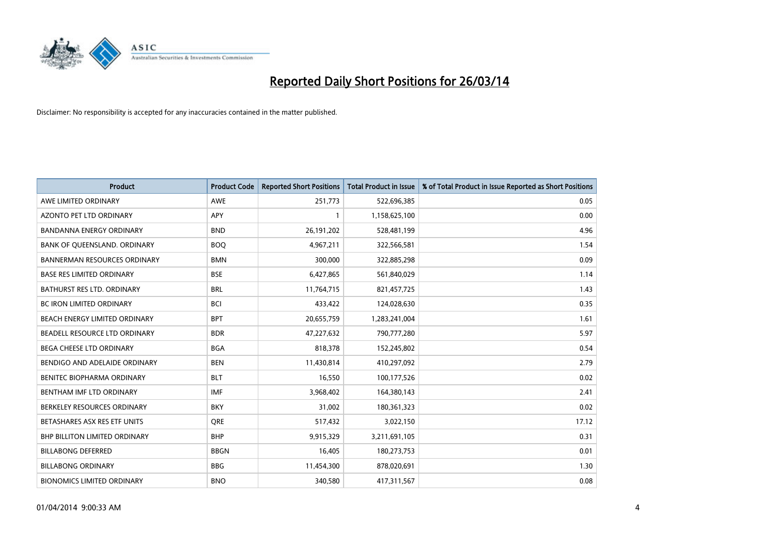

| <b>Product</b>                       | <b>Product Code</b> | <b>Reported Short Positions</b> | <b>Total Product in Issue</b> | % of Total Product in Issue Reported as Short Positions |
|--------------------------------------|---------------------|---------------------------------|-------------------------------|---------------------------------------------------------|
| AWE LIMITED ORDINARY                 | <b>AWE</b>          | 251,773                         | 522,696,385                   | 0.05                                                    |
| AZONTO PET LTD ORDINARY              | APY                 |                                 | 1,158,625,100                 | 0.00                                                    |
| <b>BANDANNA ENERGY ORDINARY</b>      | <b>BND</b>          | 26, 191, 202                    | 528,481,199                   | 4.96                                                    |
| BANK OF QUEENSLAND. ORDINARY         | <b>BOQ</b>          | 4,967,211                       | 322,566,581                   | 1.54                                                    |
| <b>BANNERMAN RESOURCES ORDINARY</b>  | <b>BMN</b>          | 300,000                         | 322,885,298                   | 0.09                                                    |
| <b>BASE RES LIMITED ORDINARY</b>     | <b>BSE</b>          | 6,427,865                       | 561,840,029                   | 1.14                                                    |
| BATHURST RES LTD. ORDINARY           | <b>BRL</b>          | 11,764,715                      | 821,457,725                   | 1.43                                                    |
| BC IRON LIMITED ORDINARY             | <b>BCI</b>          | 433,422                         | 124,028,630                   | 0.35                                                    |
| BEACH ENERGY LIMITED ORDINARY        | <b>BPT</b>          | 20,655,759                      | 1,283,241,004                 | 1.61                                                    |
| <b>BEADELL RESOURCE LTD ORDINARY</b> | <b>BDR</b>          | 47,227,632                      | 790,777,280                   | 5.97                                                    |
| BEGA CHEESE LTD ORDINARY             | <b>BGA</b>          | 818,378                         | 152,245,802                   | 0.54                                                    |
| BENDIGO AND ADELAIDE ORDINARY        | <b>BEN</b>          | 11,430,814                      | 410,297,092                   | 2.79                                                    |
| BENITEC BIOPHARMA ORDINARY           | <b>BLT</b>          | 16,550                          | 100,177,526                   | 0.02                                                    |
| BENTHAM IMF LTD ORDINARY             | <b>IMF</b>          | 3,968,402                       | 164,380,143                   | 2.41                                                    |
| BERKELEY RESOURCES ORDINARY          | <b>BKY</b>          | 31,002                          | 180,361,323                   | 0.02                                                    |
| BETASHARES ASX RES ETF UNITS         | <b>ORE</b>          | 517,432                         | 3,022,150                     | 17.12                                                   |
| BHP BILLITON LIMITED ORDINARY        | <b>BHP</b>          | 9,915,329                       | 3,211,691,105                 | 0.31                                                    |
| <b>BILLABONG DEFERRED</b>            | <b>BBGN</b>         | 16,405                          | 180,273,753                   | 0.01                                                    |
| <b>BILLABONG ORDINARY</b>            | <b>BBG</b>          | 11,454,300                      | 878,020,691                   | 1.30                                                    |
| <b>BIONOMICS LIMITED ORDINARY</b>    | <b>BNO</b>          | 340,580                         | 417,311,567                   | 0.08                                                    |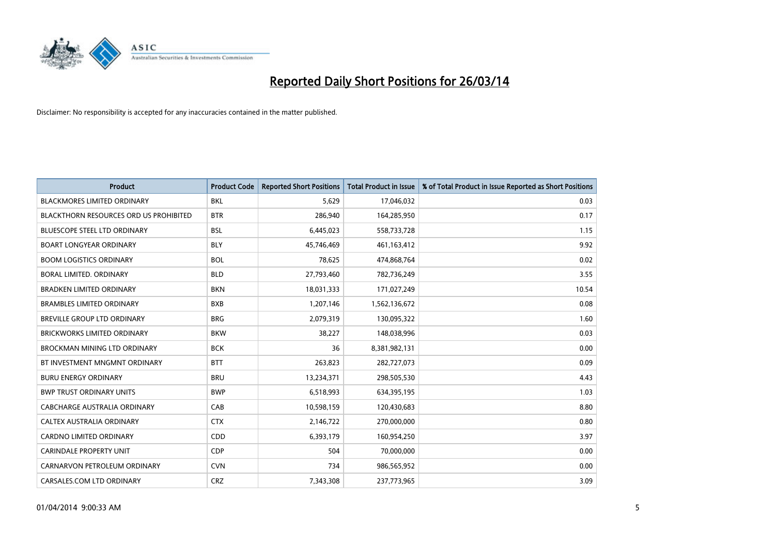

| Product                                       | <b>Product Code</b> | <b>Reported Short Positions</b> | <b>Total Product in Issue</b> | % of Total Product in Issue Reported as Short Positions |
|-----------------------------------------------|---------------------|---------------------------------|-------------------------------|---------------------------------------------------------|
| <b>BLACKMORES LIMITED ORDINARY</b>            | <b>BKL</b>          | 5,629                           | 17,046,032                    | 0.03                                                    |
| <b>BLACKTHORN RESOURCES ORD US PROHIBITED</b> | <b>BTR</b>          | 286,940                         | 164,285,950                   | 0.17                                                    |
| BLUESCOPE STEEL LTD ORDINARY                  | <b>BSL</b>          | 6,445,023                       | 558,733,728                   | 1.15                                                    |
| <b>BOART LONGYEAR ORDINARY</b>                | <b>BLY</b>          | 45,746,469                      | 461,163,412                   | 9.92                                                    |
| <b>BOOM LOGISTICS ORDINARY</b>                | <b>BOL</b>          | 78,625                          | 474,868,764                   | 0.02                                                    |
| BORAL LIMITED. ORDINARY                       | <b>BLD</b>          | 27,793,460                      | 782,736,249                   | 3.55                                                    |
| <b>BRADKEN LIMITED ORDINARY</b>               | <b>BKN</b>          | 18,031,333                      | 171,027,249                   | 10.54                                                   |
| <b>BRAMBLES LIMITED ORDINARY</b>              | <b>BXB</b>          | 1,207,146                       | 1,562,136,672                 | 0.08                                                    |
| <b>BREVILLE GROUP LTD ORDINARY</b>            | <b>BRG</b>          | 2,079,319                       | 130,095,322                   | 1.60                                                    |
| <b>BRICKWORKS LIMITED ORDINARY</b>            | <b>BKW</b>          | 38,227                          | 148,038,996                   | 0.03                                                    |
| BROCKMAN MINING LTD ORDINARY                  | <b>BCK</b>          | 36                              | 8,381,982,131                 | 0.00                                                    |
| BT INVESTMENT MNGMNT ORDINARY                 | <b>BTT</b>          | 263,823                         | 282,727,073                   | 0.09                                                    |
| <b>BURU ENERGY ORDINARY</b>                   | <b>BRU</b>          | 13,234,371                      | 298,505,530                   | 4.43                                                    |
| <b>BWP TRUST ORDINARY UNITS</b>               | <b>BWP</b>          | 6,518,993                       | 634,395,195                   | 1.03                                                    |
| CABCHARGE AUSTRALIA ORDINARY                  | CAB                 | 10,598,159                      | 120,430,683                   | 8.80                                                    |
| CALTEX AUSTRALIA ORDINARY                     | <b>CTX</b>          | 2,146,722                       | 270,000,000                   | 0.80                                                    |
| <b>CARDNO LIMITED ORDINARY</b>                | CDD                 | 6,393,179                       | 160,954,250                   | 3.97                                                    |
| <b>CARINDALE PROPERTY UNIT</b>                | <b>CDP</b>          | 504                             | 70,000,000                    | 0.00                                                    |
| CARNARVON PETROLEUM ORDINARY                  | <b>CVN</b>          | 734                             | 986,565,952                   | 0.00                                                    |
| CARSALES.COM LTD ORDINARY                     | <b>CRZ</b>          | 7,343,308                       | 237,773,965                   | 3.09                                                    |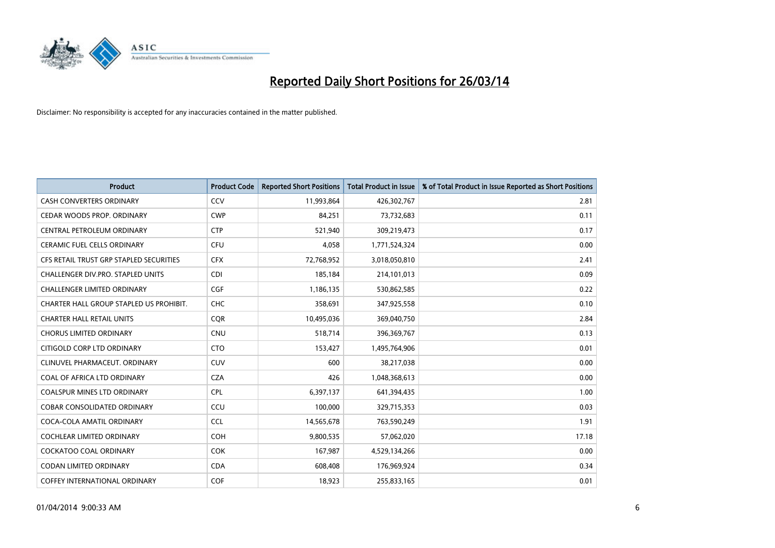

| Product                                 | <b>Product Code</b> | <b>Reported Short Positions</b> | <b>Total Product in Issue</b> | % of Total Product in Issue Reported as Short Positions |
|-----------------------------------------|---------------------|---------------------------------|-------------------------------|---------------------------------------------------------|
| <b>CASH CONVERTERS ORDINARY</b>         | CCV                 | 11,993,864                      | 426,302,767                   | 2.81                                                    |
| CEDAR WOODS PROP. ORDINARY              | <b>CWP</b>          | 84,251                          | 73,732,683                    | 0.11                                                    |
| CENTRAL PETROLEUM ORDINARY              | <b>CTP</b>          | 521,940                         | 309,219,473                   | 0.17                                                    |
| CERAMIC FUEL CELLS ORDINARY             | <b>CFU</b>          | 4,058                           | 1,771,524,324                 | 0.00                                                    |
| CFS RETAIL TRUST GRP STAPLED SECURITIES | <b>CFX</b>          | 72,768,952                      | 3,018,050,810                 | 2.41                                                    |
| CHALLENGER DIV.PRO. STAPLED UNITS       | <b>CDI</b>          | 185,184                         | 214,101,013                   | 0.09                                                    |
| <b>CHALLENGER LIMITED ORDINARY</b>      | <b>CGF</b>          | 1,186,135                       | 530,862,585                   | 0.22                                                    |
| CHARTER HALL GROUP STAPLED US PROHIBIT. | <b>CHC</b>          | 358,691                         | 347,925,558                   | 0.10                                                    |
| <b>CHARTER HALL RETAIL UNITS</b>        | <b>CQR</b>          | 10,495,036                      | 369,040,750                   | 2.84                                                    |
| <b>CHORUS LIMITED ORDINARY</b>          | <b>CNU</b>          | 518,714                         | 396,369,767                   | 0.13                                                    |
| CITIGOLD CORP LTD ORDINARY              | <b>CTO</b>          | 153,427                         | 1,495,764,906                 | 0.01                                                    |
| CLINUVEL PHARMACEUT, ORDINARY           | <b>CUV</b>          | 600                             | 38,217,038                    | 0.00                                                    |
| COAL OF AFRICA LTD ORDINARY             | <b>CZA</b>          | 426                             | 1,048,368,613                 | 0.00                                                    |
| <b>COALSPUR MINES LTD ORDINARY</b>      | <b>CPL</b>          | 6,397,137                       | 641,394,435                   | 1.00                                                    |
| <b>COBAR CONSOLIDATED ORDINARY</b>      | CCU                 | 100,000                         | 329,715,353                   | 0.03                                                    |
| COCA-COLA AMATIL ORDINARY               | <b>CCL</b>          | 14,565,678                      | 763,590,249                   | 1.91                                                    |
| COCHLEAR LIMITED ORDINARY               | <b>COH</b>          | 9,800,535                       | 57,062,020                    | 17.18                                                   |
| <b>COCKATOO COAL ORDINARY</b>           | <b>COK</b>          | 167,987                         | 4,529,134,266                 | 0.00                                                    |
| <b>CODAN LIMITED ORDINARY</b>           | <b>CDA</b>          | 608,408                         | 176,969,924                   | 0.34                                                    |
| COFFEY INTERNATIONAL ORDINARY           | <b>COF</b>          | 18,923                          | 255,833,165                   | 0.01                                                    |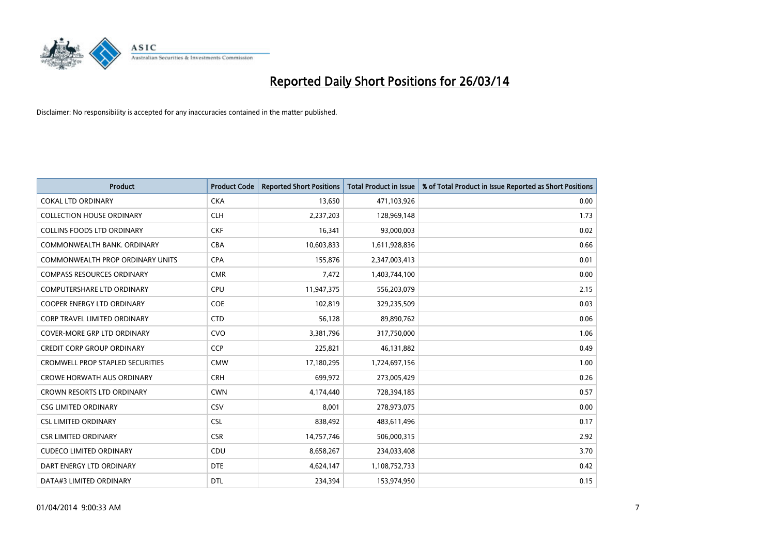

| <b>Product</b>                          | <b>Product Code</b> | <b>Reported Short Positions</b> | <b>Total Product in Issue</b> | % of Total Product in Issue Reported as Short Positions |
|-----------------------------------------|---------------------|---------------------------------|-------------------------------|---------------------------------------------------------|
| <b>COKAL LTD ORDINARY</b>               | <b>CKA</b>          | 13,650                          | 471,103,926                   | 0.00                                                    |
| <b>COLLECTION HOUSE ORDINARY</b>        | <b>CLH</b>          | 2,237,203                       | 128,969,148                   | 1.73                                                    |
| <b>COLLINS FOODS LTD ORDINARY</b>       | <b>CKF</b>          | 16,341                          | 93,000,003                    | 0.02                                                    |
| COMMONWEALTH BANK, ORDINARY             | <b>CBA</b>          | 10,603,833                      | 1,611,928,836                 | 0.66                                                    |
| <b>COMMONWEALTH PROP ORDINARY UNITS</b> | <b>CPA</b>          | 155,876                         | 2,347,003,413                 | 0.01                                                    |
| <b>COMPASS RESOURCES ORDINARY</b>       | <b>CMR</b>          | 7,472                           | 1,403,744,100                 | 0.00                                                    |
| <b>COMPUTERSHARE LTD ORDINARY</b>       | <b>CPU</b>          | 11,947,375                      | 556,203,079                   | 2.15                                                    |
| <b>COOPER ENERGY LTD ORDINARY</b>       | <b>COE</b>          | 102,819                         | 329,235,509                   | 0.03                                                    |
| CORP TRAVEL LIMITED ORDINARY            | <b>CTD</b>          | 56,128                          | 89,890,762                    | 0.06                                                    |
| <b>COVER-MORE GRP LTD ORDINARY</b>      | <b>CVO</b>          | 3,381,796                       | 317,750,000                   | 1.06                                                    |
| <b>CREDIT CORP GROUP ORDINARY</b>       | <b>CCP</b>          | 225,821                         | 46,131,882                    | 0.49                                                    |
| <b>CROMWELL PROP STAPLED SECURITIES</b> | <b>CMW</b>          | 17,180,295                      | 1,724,697,156                 | 1.00                                                    |
| <b>CROWE HORWATH AUS ORDINARY</b>       | <b>CRH</b>          | 699,972                         | 273,005,429                   | 0.26                                                    |
| <b>CROWN RESORTS LTD ORDINARY</b>       | <b>CWN</b>          | 4,174,440                       | 728,394,185                   | 0.57                                                    |
| <b>CSG LIMITED ORDINARY</b>             | CSV                 | 8,001                           | 278,973,075                   | 0.00                                                    |
| <b>CSL LIMITED ORDINARY</b>             | <b>CSL</b>          | 838,492                         | 483,611,496                   | 0.17                                                    |
| <b>CSR LIMITED ORDINARY</b>             | <b>CSR</b>          | 14,757,746                      | 506,000,315                   | 2.92                                                    |
| <b>CUDECO LIMITED ORDINARY</b>          | <b>CDU</b>          | 8,658,267                       | 234,033,408                   | 3.70                                                    |
| DART ENERGY LTD ORDINARY                | <b>DTE</b>          | 4,624,147                       | 1,108,752,733                 | 0.42                                                    |
| DATA#3 LIMITED ORDINARY                 | <b>DTL</b>          | 234.394                         | 153,974,950                   | 0.15                                                    |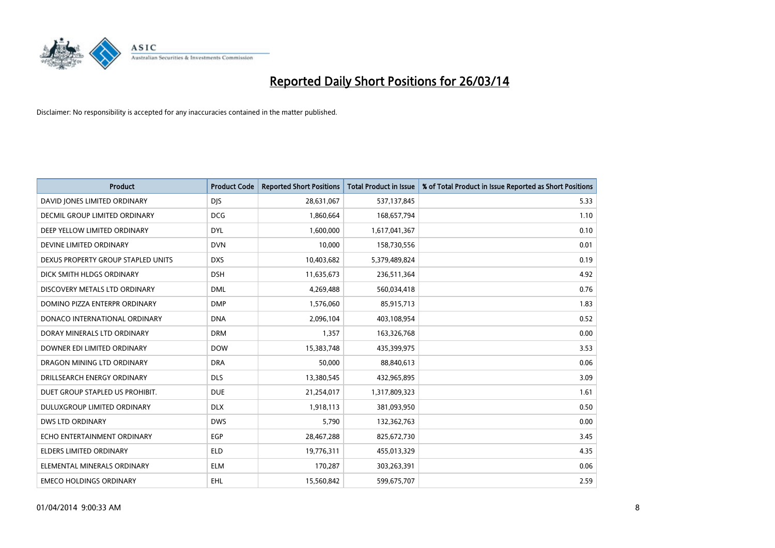

| <b>Product</b>                       | <b>Product Code</b> | <b>Reported Short Positions</b> | <b>Total Product in Issue</b> | % of Total Product in Issue Reported as Short Positions |
|--------------------------------------|---------------------|---------------------------------|-------------------------------|---------------------------------------------------------|
| DAVID JONES LIMITED ORDINARY         | <b>DJS</b>          | 28,631,067                      | 537,137,845                   | 5.33                                                    |
| <b>DECMIL GROUP LIMITED ORDINARY</b> | <b>DCG</b>          | 1,860,664                       | 168,657,794                   | 1.10                                                    |
| DEEP YELLOW LIMITED ORDINARY         | <b>DYL</b>          | 1,600,000                       | 1,617,041,367                 | 0.10                                                    |
| DEVINE LIMITED ORDINARY              | <b>DVN</b>          | 10,000                          | 158,730,556                   | 0.01                                                    |
| DEXUS PROPERTY GROUP STAPLED UNITS   | <b>DXS</b>          | 10,403,682                      | 5,379,489,824                 | 0.19                                                    |
| DICK SMITH HLDGS ORDINARY            | <b>DSH</b>          | 11,635,673                      | 236,511,364                   | 4.92                                                    |
| DISCOVERY METALS LTD ORDINARY        | <b>DML</b>          | 4,269,488                       | 560,034,418                   | 0.76                                                    |
| DOMINO PIZZA ENTERPR ORDINARY        | <b>DMP</b>          | 1,576,060                       | 85,915,713                    | 1.83                                                    |
| DONACO INTERNATIONAL ORDINARY        | <b>DNA</b>          | 2,096,104                       | 403,108,954                   | 0.52                                                    |
| DORAY MINERALS LTD ORDINARY          | <b>DRM</b>          | 1,357                           | 163,326,768                   | 0.00                                                    |
| DOWNER EDI LIMITED ORDINARY          | <b>DOW</b>          | 15,383,748                      | 435,399,975                   | 3.53                                                    |
| DRAGON MINING LTD ORDINARY           | <b>DRA</b>          | 50,000                          | 88,840,613                    | 0.06                                                    |
| DRILLSEARCH ENERGY ORDINARY          | <b>DLS</b>          | 13,380,545                      | 432,965,895                   | 3.09                                                    |
| DUET GROUP STAPLED US PROHIBIT.      | <b>DUE</b>          | 21,254,017                      | 1,317,809,323                 | 1.61                                                    |
| DULUXGROUP LIMITED ORDINARY          | <b>DLX</b>          | 1,918,113                       | 381,093,950                   | 0.50                                                    |
| <b>DWS LTD ORDINARY</b>              | <b>DWS</b>          | 5,790                           | 132,362,763                   | 0.00                                                    |
| ECHO ENTERTAINMENT ORDINARY          | <b>EGP</b>          | 28,467,288                      | 825,672,730                   | 3.45                                                    |
| <b>ELDERS LIMITED ORDINARY</b>       | <b>ELD</b>          | 19,776,311                      | 455,013,329                   | 4.35                                                    |
| ELEMENTAL MINERALS ORDINARY          | <b>ELM</b>          | 170,287                         | 303,263,391                   | 0.06                                                    |
| <b>EMECO HOLDINGS ORDINARY</b>       | <b>EHL</b>          | 15,560,842                      | 599,675,707                   | 2.59                                                    |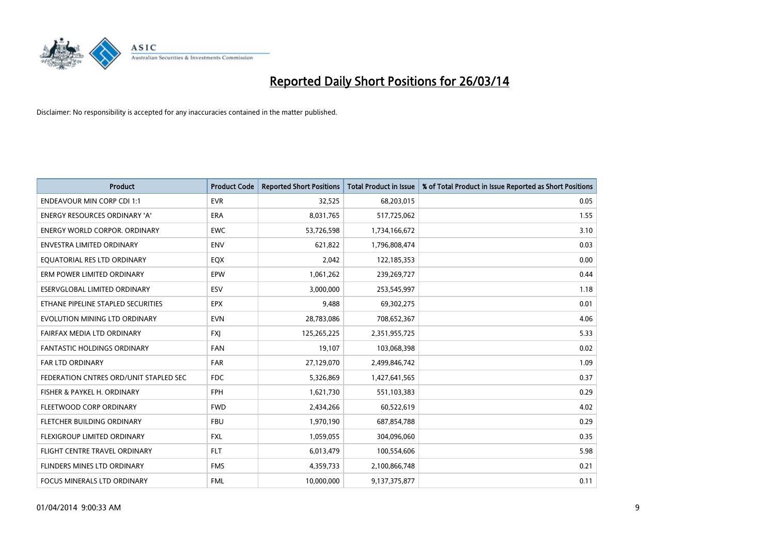

| <b>Product</b>                         | <b>Product Code</b> | <b>Reported Short Positions</b> | <b>Total Product in Issue</b> | % of Total Product in Issue Reported as Short Positions |
|----------------------------------------|---------------------|---------------------------------|-------------------------------|---------------------------------------------------------|
| <b>ENDEAVOUR MIN CORP CDI 1:1</b>      | <b>EVR</b>          | 32,525                          | 68,203,015                    | 0.05                                                    |
| ENERGY RESOURCES ORDINARY 'A'          | ERA                 | 8,031,765                       | 517,725,062                   | 1.55                                                    |
| <b>ENERGY WORLD CORPOR, ORDINARY</b>   | <b>EWC</b>          | 53,726,598                      | 1,734,166,672                 | 3.10                                                    |
| ENVESTRA LIMITED ORDINARY              | <b>ENV</b>          | 621,822                         | 1,796,808,474                 | 0.03                                                    |
| EQUATORIAL RES LTD ORDINARY            | EQX                 | 2,042                           | 122,185,353                   | 0.00                                                    |
| ERM POWER LIMITED ORDINARY             | EPW                 | 1,061,262                       | 239,269,727                   | 0.44                                                    |
| ESERVGLOBAL LIMITED ORDINARY           | ESV                 | 3,000,000                       | 253,545,997                   | 1.18                                                    |
| ETHANE PIPELINE STAPLED SECURITIES     | <b>EPX</b>          | 9,488                           | 69,302,275                    | 0.01                                                    |
| EVOLUTION MINING LTD ORDINARY          | <b>EVN</b>          | 28,783,086                      | 708,652,367                   | 4.06                                                    |
| FAIRFAX MEDIA LTD ORDINARY             | <b>FXI</b>          | 125,265,225                     | 2,351,955,725                 | 5.33                                                    |
| FANTASTIC HOLDINGS ORDINARY            | FAN                 | 19,107                          | 103,068,398                   | 0.02                                                    |
| <b>FAR LTD ORDINARY</b>                | <b>FAR</b>          | 27,129,070                      | 2,499,846,742                 | 1.09                                                    |
| FEDERATION CNTRES ORD/UNIT STAPLED SEC | FDC                 | 5,326,869                       | 1,427,641,565                 | 0.37                                                    |
| FISHER & PAYKEL H. ORDINARY            | FPH                 | 1,621,730                       | 551,103,383                   | 0.29                                                    |
| FLEETWOOD CORP ORDINARY                | <b>FWD</b>          | 2,434,266                       | 60,522,619                    | 4.02                                                    |
| FLETCHER BUILDING ORDINARY             | <b>FBU</b>          | 1,970,190                       | 687,854,788                   | 0.29                                                    |
| FLEXIGROUP LIMITED ORDINARY            | <b>FXL</b>          | 1,059,055                       | 304,096,060                   | 0.35                                                    |
| FLIGHT CENTRE TRAVEL ORDINARY          | <b>FLT</b>          | 6,013,479                       | 100,554,606                   | 5.98                                                    |
| FLINDERS MINES LTD ORDINARY            | <b>FMS</b>          | 4,359,733                       | 2,100,866,748                 | 0.21                                                    |
| FOCUS MINERALS LTD ORDINARY            | <b>FML</b>          | 10,000,000                      | 9,137,375,877                 | 0.11                                                    |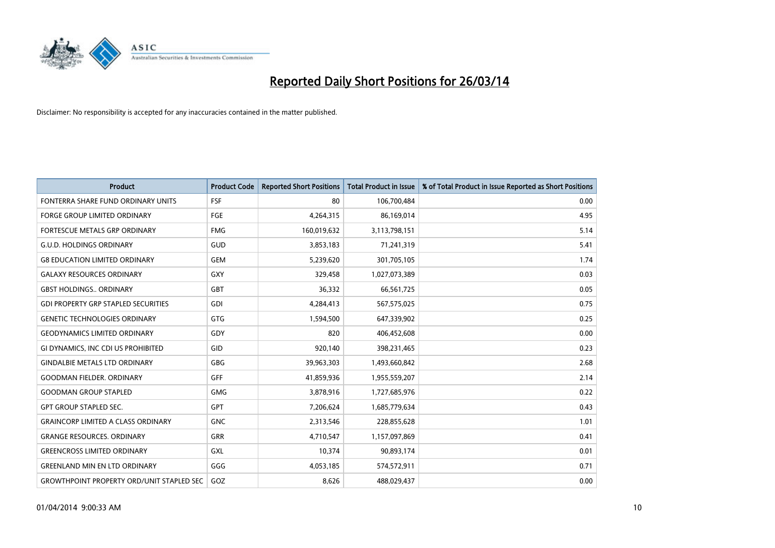

| <b>Product</b>                                   | <b>Product Code</b> | <b>Reported Short Positions</b> | <b>Total Product in Issue</b> | % of Total Product in Issue Reported as Short Positions |
|--------------------------------------------------|---------------------|---------------------------------|-------------------------------|---------------------------------------------------------|
| FONTERRA SHARE FUND ORDINARY UNITS               | <b>FSF</b>          | 80                              | 106,700,484                   | 0.00                                                    |
| <b>FORGE GROUP LIMITED ORDINARY</b>              | <b>FGE</b>          | 4,264,315                       | 86,169,014                    | 4.95                                                    |
| FORTESCUE METALS GRP ORDINARY                    | <b>FMG</b>          | 160,019,632                     | 3,113,798,151                 | 5.14                                                    |
| <b>G.U.D. HOLDINGS ORDINARY</b>                  | GUD                 | 3,853,183                       | 71,241,319                    | 5.41                                                    |
| <b>G8 EDUCATION LIMITED ORDINARY</b>             | <b>GEM</b>          | 5,239,620                       | 301,705,105                   | 1.74                                                    |
| <b>GALAXY RESOURCES ORDINARY</b>                 | GXY                 | 329,458                         | 1,027,073,389                 | 0.03                                                    |
| <b>GBST HOLDINGS ORDINARY</b>                    | GBT                 | 36,332                          | 66,561,725                    | 0.05                                                    |
| <b>GDI PROPERTY GRP STAPLED SECURITIES</b>       | GDI                 | 4,284,413                       | 567,575,025                   | 0.75                                                    |
| <b>GENETIC TECHNOLOGIES ORDINARY</b>             | GTG                 | 1,594,500                       | 647,339,902                   | 0.25                                                    |
| <b>GEODYNAMICS LIMITED ORDINARY</b>              | GDY                 | 820                             | 406,452,608                   | 0.00                                                    |
| GI DYNAMICS, INC CDI US PROHIBITED               | GID                 | 920,140                         | 398,231,465                   | 0.23                                                    |
| <b>GINDALBIE METALS LTD ORDINARY</b>             | <b>GBG</b>          | 39,963,303                      | 1,493,660,842                 | 2.68                                                    |
| <b>GOODMAN FIELDER, ORDINARY</b>                 | <b>GFF</b>          | 41,859,936                      | 1,955,559,207                 | 2.14                                                    |
| <b>GOODMAN GROUP STAPLED</b>                     | <b>GMG</b>          | 3,878,916                       | 1,727,685,976                 | 0.22                                                    |
| <b>GPT GROUP STAPLED SEC.</b>                    | <b>GPT</b>          | 7,206,624                       | 1,685,779,634                 | 0.43                                                    |
| <b>GRAINCORP LIMITED A CLASS ORDINARY</b>        | <b>GNC</b>          | 2,313,546                       | 228,855,628                   | 1.01                                                    |
| <b>GRANGE RESOURCES. ORDINARY</b>                | GRR                 | 4,710,547                       | 1,157,097,869                 | 0.41                                                    |
| <b>GREENCROSS LIMITED ORDINARY</b>               | GXL                 | 10,374                          | 90,893,174                    | 0.01                                                    |
| <b>GREENLAND MIN EN LTD ORDINARY</b>             | GGG                 | 4,053,185                       | 574,572,911                   | 0.71                                                    |
| <b>GROWTHPOINT PROPERTY ORD/UNIT STAPLED SEC</b> | GOZ                 | 8,626                           | 488,029,437                   | 0.00                                                    |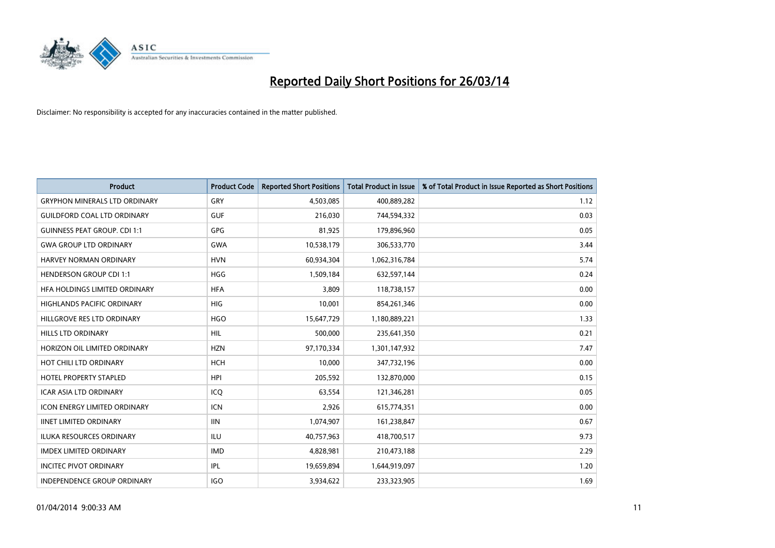

| Product                              | <b>Product Code</b> | <b>Reported Short Positions</b> | <b>Total Product in Issue</b> | % of Total Product in Issue Reported as Short Positions |
|--------------------------------------|---------------------|---------------------------------|-------------------------------|---------------------------------------------------------|
| <b>GRYPHON MINERALS LTD ORDINARY</b> | GRY                 | 4,503,085                       | 400,889,282                   | 1.12                                                    |
| <b>GUILDFORD COAL LTD ORDINARY</b>   | <b>GUF</b>          | 216,030                         | 744,594,332                   | 0.03                                                    |
| <b>GUINNESS PEAT GROUP. CDI 1:1</b>  | <b>GPG</b>          | 81,925                          | 179,896,960                   | 0.05                                                    |
| <b>GWA GROUP LTD ORDINARY</b>        | <b>GWA</b>          | 10,538,179                      | 306,533,770                   | 3.44                                                    |
| <b>HARVEY NORMAN ORDINARY</b>        | <b>HVN</b>          | 60,934,304                      | 1,062,316,784                 | 5.74                                                    |
| <b>HENDERSON GROUP CDI 1:1</b>       | <b>HGG</b>          | 1,509,184                       | 632,597,144                   | 0.24                                                    |
| HFA HOLDINGS LIMITED ORDINARY        | <b>HFA</b>          | 3,809                           | 118,738,157                   | 0.00                                                    |
| <b>HIGHLANDS PACIFIC ORDINARY</b>    | <b>HIG</b>          | 10,001                          | 854,261,346                   | 0.00                                                    |
| HILLGROVE RES LTD ORDINARY           | <b>HGO</b>          | 15,647,729                      | 1,180,889,221                 | 1.33                                                    |
| <b>HILLS LTD ORDINARY</b>            | <b>HIL</b>          | 500,000                         | 235,641,350                   | 0.21                                                    |
| HORIZON OIL LIMITED ORDINARY         | <b>HZN</b>          | 97,170,334                      | 1,301,147,932                 | 7.47                                                    |
| HOT CHILI LTD ORDINARY               | <b>HCH</b>          | 10,000                          | 347,732,196                   | 0.00                                                    |
| HOTEL PROPERTY STAPLED               | <b>HPI</b>          | 205,592                         | 132,870,000                   | 0.15                                                    |
| <b>ICAR ASIA LTD ORDINARY</b>        | ICQ                 | 63,554                          | 121,346,281                   | 0.05                                                    |
| <b>ICON ENERGY LIMITED ORDINARY</b>  | ICN                 | 2,926                           | 615,774,351                   | 0.00                                                    |
| <b>IINET LIMITED ORDINARY</b>        | <b>IIN</b>          | 1,074,907                       | 161,238,847                   | 0.67                                                    |
| <b>ILUKA RESOURCES ORDINARY</b>      | ILU                 | 40,757,963                      | 418,700,517                   | 9.73                                                    |
| <b>IMDEX LIMITED ORDINARY</b>        | <b>IMD</b>          | 4,828,981                       | 210,473,188                   | 2.29                                                    |
| <b>INCITEC PIVOT ORDINARY</b>        | IPL                 | 19,659,894                      | 1,644,919,097                 | 1.20                                                    |
| INDEPENDENCE GROUP ORDINARY          | <b>IGO</b>          | 3,934,622                       | 233,323,905                   | 1.69                                                    |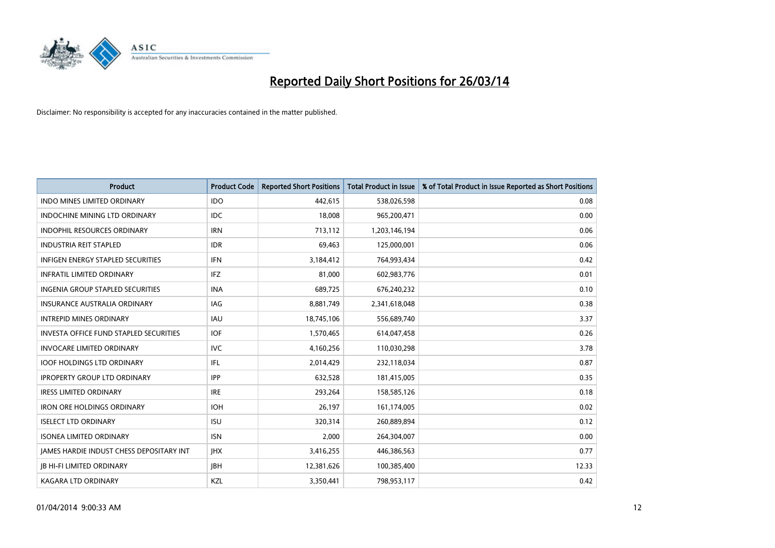

| <b>Product</b>                           | <b>Product Code</b> | <b>Reported Short Positions</b> | <b>Total Product in Issue</b> | % of Total Product in Issue Reported as Short Positions |
|------------------------------------------|---------------------|---------------------------------|-------------------------------|---------------------------------------------------------|
| <b>INDO MINES LIMITED ORDINARY</b>       | <b>IDO</b>          | 442,615                         | 538,026,598                   | 0.08                                                    |
| INDOCHINE MINING LTD ORDINARY            | IDC                 | 18,008                          | 965,200,471                   | 0.00                                                    |
| <b>INDOPHIL RESOURCES ORDINARY</b>       | <b>IRN</b>          | 713,112                         | 1,203,146,194                 | 0.06                                                    |
| <b>INDUSTRIA REIT STAPLED</b>            | <b>IDR</b>          | 69,463                          | 125,000,001                   | 0.06                                                    |
| <b>INFIGEN ENERGY STAPLED SECURITIES</b> | <b>IFN</b>          | 3,184,412                       | 764,993,434                   | 0.42                                                    |
| <b>INFRATIL LIMITED ORDINARY</b>         | IFZ                 | 81,000                          | 602,983,776                   | 0.01                                                    |
| <b>INGENIA GROUP STAPLED SECURITIES</b>  | <b>INA</b>          | 689,725                         | 676,240,232                   | 0.10                                                    |
| <b>INSURANCE AUSTRALIA ORDINARY</b>      | IAG                 | 8,881,749                       | 2,341,618,048                 | 0.38                                                    |
| <b>INTREPID MINES ORDINARY</b>           | IAU                 | 18,745,106                      | 556,689,740                   | 3.37                                                    |
| INVESTA OFFICE FUND STAPLED SECURITIES   | IOF.                | 1,570,465                       | 614,047,458                   | 0.26                                                    |
| <b>INVOCARE LIMITED ORDINARY</b>         | <b>IVC</b>          | 4,160,256                       | 110,030,298                   | 3.78                                                    |
| <b>IOOF HOLDINGS LTD ORDINARY</b>        | IFL                 | 2,014,429                       | 232,118,034                   | 0.87                                                    |
| <b>IPROPERTY GROUP LTD ORDINARY</b>      | <b>IPP</b>          | 632,528                         | 181,415,005                   | 0.35                                                    |
| <b>IRESS LIMITED ORDINARY</b>            | <b>IRE</b>          | 293,264                         | 158,585,126                   | 0.18                                                    |
| <b>IRON ORE HOLDINGS ORDINARY</b>        | <b>IOH</b>          | 26,197                          | 161,174,005                   | 0.02                                                    |
| <b>ISELECT LTD ORDINARY</b>              | <b>ISU</b>          | 320,314                         | 260,889,894                   | 0.12                                                    |
| <b>ISONEA LIMITED ORDINARY</b>           | <b>ISN</b>          | 2,000                           | 264,304,007                   | 0.00                                                    |
| JAMES HARDIE INDUST CHESS DEPOSITARY INT | <b>IHX</b>          | 3,416,255                       | 446,386,563                   | 0.77                                                    |
| <b>IB HI-FI LIMITED ORDINARY</b>         | <b>JBH</b>          | 12,381,626                      | 100,385,400                   | 12.33                                                   |
| <b>KAGARA LTD ORDINARY</b>               | KZL                 | 3,350,441                       | 798,953,117                   | 0.42                                                    |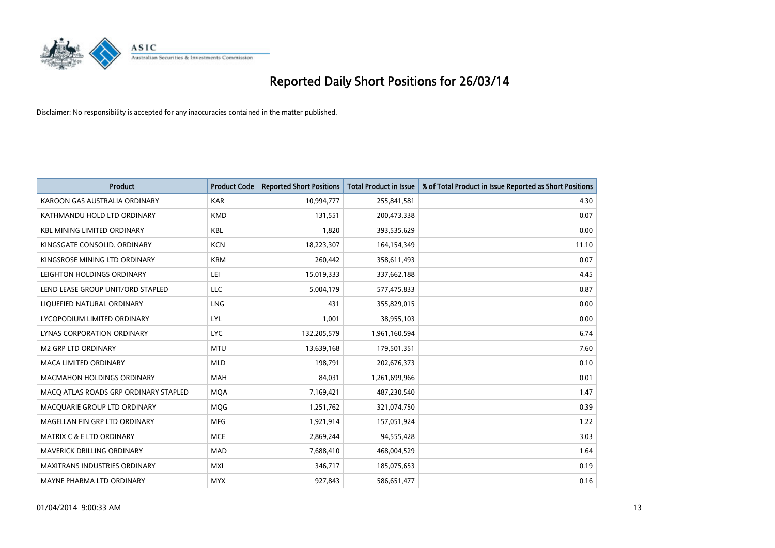

| <b>Product</b>                        | <b>Product Code</b> | <b>Reported Short Positions</b> | <b>Total Product in Issue</b> | % of Total Product in Issue Reported as Short Positions |
|---------------------------------------|---------------------|---------------------------------|-------------------------------|---------------------------------------------------------|
| KAROON GAS AUSTRALIA ORDINARY         | <b>KAR</b>          | 10,994,777                      | 255,841,581                   | 4.30                                                    |
| KATHMANDU HOLD LTD ORDINARY           | <b>KMD</b>          | 131,551                         | 200,473,338                   | 0.07                                                    |
| <b>KBL MINING LIMITED ORDINARY</b>    | <b>KBL</b>          | 1,820                           | 393,535,629                   | 0.00                                                    |
| KINGSGATE CONSOLID. ORDINARY          | <b>KCN</b>          | 18,223,307                      | 164,154,349                   | 11.10                                                   |
| KINGSROSE MINING LTD ORDINARY         | <b>KRM</b>          | 260,442                         | 358,611,493                   | 0.07                                                    |
| LEIGHTON HOLDINGS ORDINARY            | LEI                 | 15,019,333                      | 337,662,188                   | 4.45                                                    |
| LEND LEASE GROUP UNIT/ORD STAPLED     | LLC                 | 5,004,179                       | 577,475,833                   | 0.87                                                    |
| LIQUEFIED NATURAL ORDINARY            | <b>LNG</b>          | 431                             | 355,829,015                   | 0.00                                                    |
| LYCOPODIUM LIMITED ORDINARY           | LYL                 | 1,001                           | 38,955,103                    | 0.00                                                    |
| <b>LYNAS CORPORATION ORDINARY</b>     | <b>LYC</b>          | 132,205,579                     | 1,961,160,594                 | 6.74                                                    |
| <b>M2 GRP LTD ORDINARY</b>            | <b>MTU</b>          | 13,639,168                      | 179,501,351                   | 7.60                                                    |
| <b>MACA LIMITED ORDINARY</b>          | <b>MLD</b>          | 198,791                         | 202,676,373                   | 0.10                                                    |
| MACMAHON HOLDINGS ORDINARY            | MAH                 | 84,031                          | 1,261,699,966                 | 0.01                                                    |
| MACO ATLAS ROADS GRP ORDINARY STAPLED | <b>MOA</b>          | 7,169,421                       | 487,230,540                   | 1.47                                                    |
| MACQUARIE GROUP LTD ORDINARY          | <b>MQG</b>          | 1,251,762                       | 321,074,750                   | 0.39                                                    |
| MAGELLAN FIN GRP LTD ORDINARY         | <b>MFG</b>          | 1,921,914                       | 157,051,924                   | 1.22                                                    |
| MATRIX C & E LTD ORDINARY             | <b>MCE</b>          | 2,869,244                       | 94,555,428                    | 3.03                                                    |
| <b>MAVERICK DRILLING ORDINARY</b>     | <b>MAD</b>          | 7,688,410                       | 468,004,529                   | 1.64                                                    |
| <b>MAXITRANS INDUSTRIES ORDINARY</b>  | MXI                 | 346,717                         | 185,075,653                   | 0.19                                                    |
| MAYNE PHARMA LTD ORDINARY             | <b>MYX</b>          | 927,843                         | 586,651,477                   | 0.16                                                    |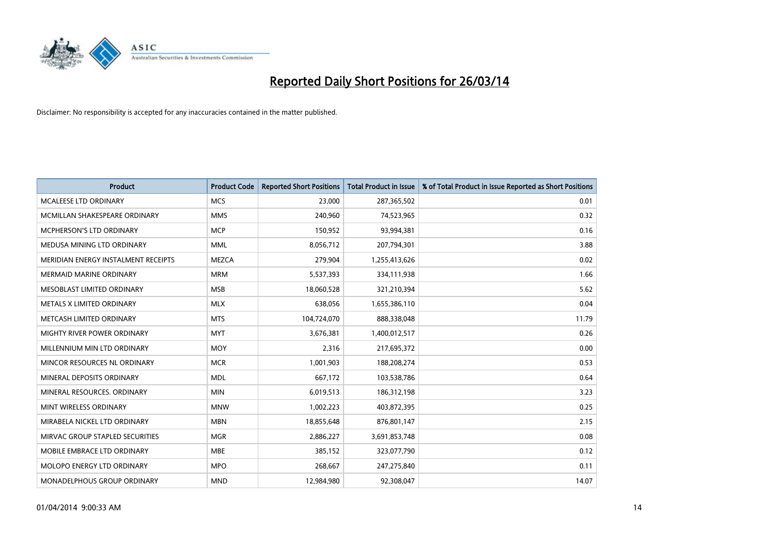

| <b>Product</b>                      | <b>Product Code</b> | <b>Reported Short Positions</b> | <b>Total Product in Issue</b> | % of Total Product in Issue Reported as Short Positions |
|-------------------------------------|---------------------|---------------------------------|-------------------------------|---------------------------------------------------------|
| <b>MCALEESE LTD ORDINARY</b>        | <b>MCS</b>          | 23,000                          | 287,365,502                   | 0.01                                                    |
| MCMILLAN SHAKESPEARE ORDINARY       | <b>MMS</b>          | 240,960                         | 74,523,965                    | 0.32                                                    |
| MCPHERSON'S LTD ORDINARY            | <b>MCP</b>          | 150,952                         | 93,994,381                    | 0.16                                                    |
| MEDUSA MINING LTD ORDINARY          | <b>MML</b>          | 8,056,712                       | 207,794,301                   | 3.88                                                    |
| MERIDIAN ENERGY INSTALMENT RECEIPTS | <b>MEZCA</b>        | 279,904                         | 1,255,413,626                 | 0.02                                                    |
| <b>MERMAID MARINE ORDINARY</b>      | <b>MRM</b>          | 5,537,393                       | 334,111,938                   | 1.66                                                    |
| MESOBLAST LIMITED ORDINARY          | <b>MSB</b>          | 18,060,528                      | 321,210,394                   | 5.62                                                    |
| METALS X LIMITED ORDINARY           | <b>MLX</b>          | 638,056                         | 1,655,386,110                 | 0.04                                                    |
| METCASH LIMITED ORDINARY            | <b>MTS</b>          | 104,724,070                     | 888,338,048                   | 11.79                                                   |
| MIGHTY RIVER POWER ORDINARY         | <b>MYT</b>          | 3,676,381                       | 1,400,012,517                 | 0.26                                                    |
| MILLENNIUM MIN LTD ORDINARY         | <b>MOY</b>          | 2,316                           | 217,695,372                   | 0.00                                                    |
| MINCOR RESOURCES NL ORDINARY        | <b>MCR</b>          | 1,001,903                       | 188,208,274                   | 0.53                                                    |
| MINERAL DEPOSITS ORDINARY           | <b>MDL</b>          | 667,172                         | 103,538,786                   | 0.64                                                    |
| MINERAL RESOURCES, ORDINARY         | <b>MIN</b>          | 6,019,513                       | 186,312,198                   | 3.23                                                    |
| MINT WIRELESS ORDINARY              | <b>MNW</b>          | 1,002,223                       | 403,872,395                   | 0.25                                                    |
| MIRABELA NICKEL LTD ORDINARY        | <b>MBN</b>          | 18,855,648                      | 876,801,147                   | 2.15                                                    |
| MIRVAC GROUP STAPLED SECURITIES     | <b>MGR</b>          | 2,886,227                       | 3,691,853,748                 | 0.08                                                    |
| MOBILE EMBRACE LTD ORDINARY         | <b>MBE</b>          | 385,152                         | 323,077,790                   | 0.12                                                    |
| MOLOPO ENERGY LTD ORDINARY          | <b>MPO</b>          | 268,667                         | 247,275,840                   | 0.11                                                    |
| <b>MONADELPHOUS GROUP ORDINARY</b>  | <b>MND</b>          | 12,984,980                      | 92,308,047                    | 14.07                                                   |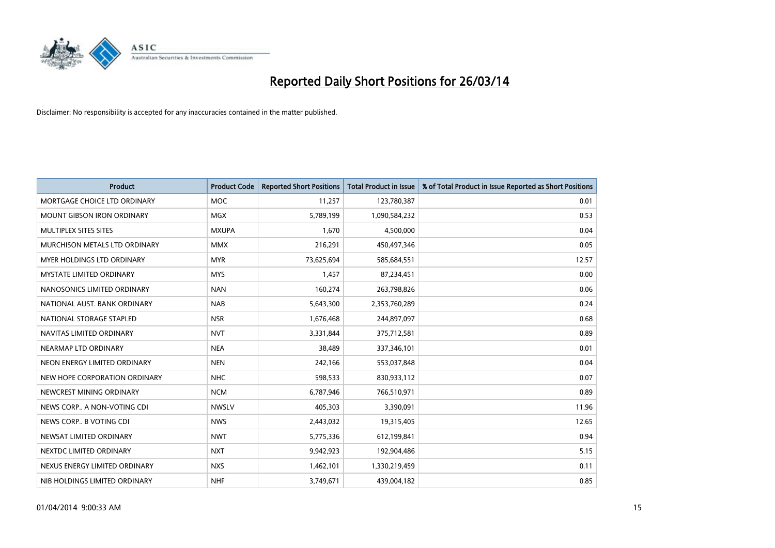

| <b>Product</b>                    | <b>Product Code</b> | <b>Reported Short Positions</b> | <b>Total Product in Issue</b> | % of Total Product in Issue Reported as Short Positions |
|-----------------------------------|---------------------|---------------------------------|-------------------------------|---------------------------------------------------------|
| MORTGAGE CHOICE LTD ORDINARY      | <b>MOC</b>          | 11,257                          | 123,780,387                   | 0.01                                                    |
| MOUNT GIBSON IRON ORDINARY        | MGX                 | 5,789,199                       | 1,090,584,232                 | 0.53                                                    |
| MULTIPLEX SITES SITES             | <b>MXUPA</b>        | 1,670                           | 4,500,000                     | 0.04                                                    |
| MURCHISON METALS LTD ORDINARY     | <b>MMX</b>          | 216,291                         | 450,497,346                   | 0.05                                                    |
| <b>MYER HOLDINGS LTD ORDINARY</b> | <b>MYR</b>          | 73,625,694                      | 585,684,551                   | 12.57                                                   |
| <b>MYSTATE LIMITED ORDINARY</b>   | <b>MYS</b>          | 1,457                           | 87,234,451                    | 0.00                                                    |
| NANOSONICS LIMITED ORDINARY       | <b>NAN</b>          | 160,274                         | 263,798,826                   | 0.06                                                    |
| NATIONAL AUST. BANK ORDINARY      | <b>NAB</b>          | 5,643,300                       | 2,353,760,289                 | 0.24                                                    |
| NATIONAL STORAGE STAPLED          | <b>NSR</b>          | 1,676,468                       | 244,897,097                   | 0.68                                                    |
| NAVITAS LIMITED ORDINARY          | <b>NVT</b>          | 3,331,844                       | 375,712,581                   | 0.89                                                    |
| NEARMAP LTD ORDINARY              | <b>NEA</b>          | 38,489                          | 337,346,101                   | 0.01                                                    |
| NEON ENERGY LIMITED ORDINARY      | <b>NEN</b>          | 242,166                         | 553,037,848                   | 0.04                                                    |
| NEW HOPE CORPORATION ORDINARY     | <b>NHC</b>          | 598,533                         | 830,933,112                   | 0.07                                                    |
| NEWCREST MINING ORDINARY          | <b>NCM</b>          | 6,787,946                       | 766,510,971                   | 0.89                                                    |
| NEWS CORP A NON-VOTING CDI        | <b>NWSLV</b>        | 405,303                         | 3,390,091                     | 11.96                                                   |
| NEWS CORP B VOTING CDI            | <b>NWS</b>          | 2,443,032                       | 19,315,405                    | 12.65                                                   |
| NEWSAT LIMITED ORDINARY           | <b>NWT</b>          | 5,775,336                       | 612,199,841                   | 0.94                                                    |
| NEXTDC LIMITED ORDINARY           | <b>NXT</b>          | 9,942,923                       | 192,904,486                   | 5.15                                                    |
| NEXUS ENERGY LIMITED ORDINARY     | <b>NXS</b>          | 1,462,101                       | 1,330,219,459                 | 0.11                                                    |
| NIB HOLDINGS LIMITED ORDINARY     | <b>NHF</b>          | 3,749,671                       | 439,004,182                   | 0.85                                                    |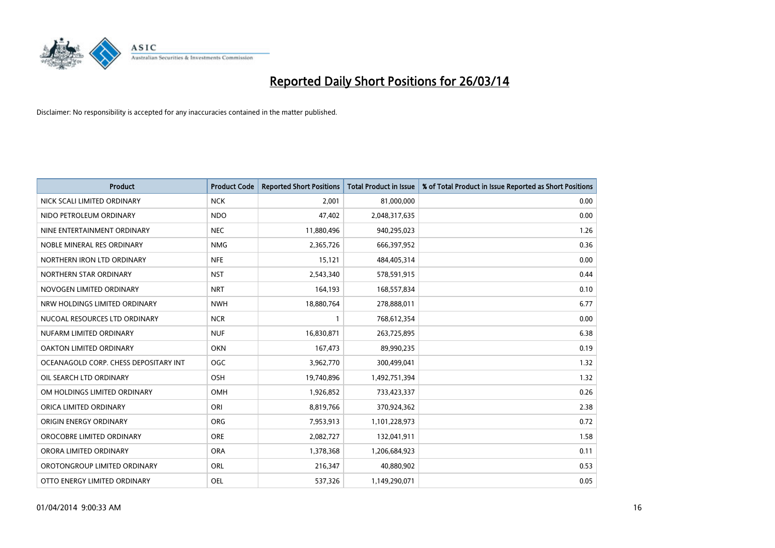

| <b>Product</b>                        | <b>Product Code</b> | <b>Reported Short Positions</b> | <b>Total Product in Issue</b> | % of Total Product in Issue Reported as Short Positions |
|---------------------------------------|---------------------|---------------------------------|-------------------------------|---------------------------------------------------------|
| NICK SCALI LIMITED ORDINARY           | <b>NCK</b>          | 2,001                           | 81,000,000                    | 0.00                                                    |
| NIDO PETROLEUM ORDINARY               | <b>NDO</b>          | 47,402                          | 2,048,317,635                 | 0.00                                                    |
| NINE ENTERTAINMENT ORDINARY           | <b>NEC</b>          | 11,880,496                      | 940,295,023                   | 1.26                                                    |
| NOBLE MINERAL RES ORDINARY            | <b>NMG</b>          | 2,365,726                       | 666,397,952                   | 0.36                                                    |
| NORTHERN IRON LTD ORDINARY            | <b>NFE</b>          | 15,121                          | 484,405,314                   | 0.00                                                    |
| NORTHERN STAR ORDINARY                | <b>NST</b>          | 2,543,340                       | 578,591,915                   | 0.44                                                    |
| NOVOGEN LIMITED ORDINARY              | <b>NRT</b>          | 164,193                         | 168,557,834                   | 0.10                                                    |
| NRW HOLDINGS LIMITED ORDINARY         | <b>NWH</b>          | 18,880,764                      | 278,888,011                   | 6.77                                                    |
| NUCOAL RESOURCES LTD ORDINARY         | <b>NCR</b>          | 1                               | 768,612,354                   | 0.00                                                    |
| NUFARM LIMITED ORDINARY               | <b>NUF</b>          | 16,830,871                      | 263,725,895                   | 6.38                                                    |
| OAKTON LIMITED ORDINARY               | <b>OKN</b>          | 167,473                         | 89,990,235                    | 0.19                                                    |
| OCEANAGOLD CORP. CHESS DEPOSITARY INT | <b>OGC</b>          | 3,962,770                       | 300,499,041                   | 1.32                                                    |
| OIL SEARCH LTD ORDINARY               | OSH                 | 19,740,896                      | 1,492,751,394                 | 1.32                                                    |
| OM HOLDINGS LIMITED ORDINARY          | <b>OMH</b>          | 1,926,852                       | 733,423,337                   | 0.26                                                    |
| ORICA LIMITED ORDINARY                | ORI                 | 8,819,766                       | 370,924,362                   | 2.38                                                    |
| ORIGIN ENERGY ORDINARY                | <b>ORG</b>          | 7,953,913                       | 1,101,228,973                 | 0.72                                                    |
| OROCOBRE LIMITED ORDINARY             | <b>ORE</b>          | 2,082,727                       | 132,041,911                   | 1.58                                                    |
| ORORA LIMITED ORDINARY                | <b>ORA</b>          | 1,378,368                       | 1,206,684,923                 | 0.11                                                    |
| OROTONGROUP LIMITED ORDINARY          | ORL                 | 216,347                         | 40,880,902                    | 0.53                                                    |
| OTTO ENERGY LIMITED ORDINARY          | <b>OEL</b>          | 537,326                         | 1,149,290,071                 | 0.05                                                    |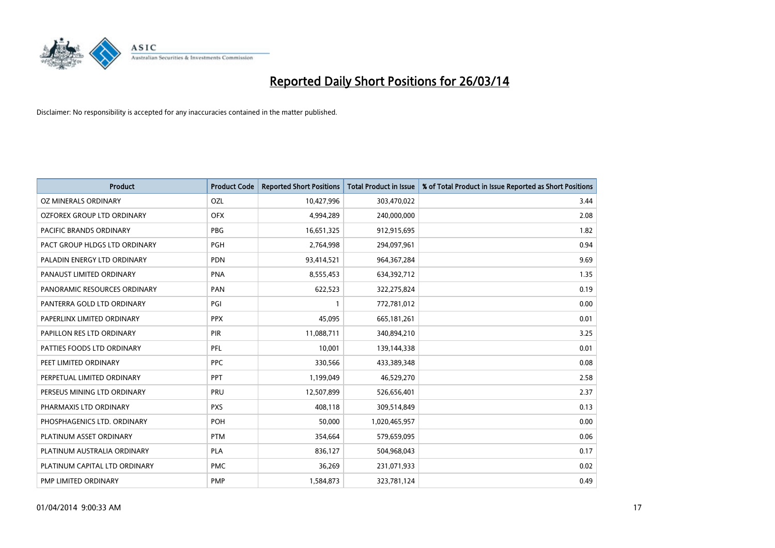

| <b>Product</b>                | <b>Product Code</b> | <b>Reported Short Positions</b> | <b>Total Product in Issue</b> | % of Total Product in Issue Reported as Short Positions |
|-------------------------------|---------------------|---------------------------------|-------------------------------|---------------------------------------------------------|
| <b>OZ MINERALS ORDINARY</b>   | OZL                 | 10,427,996                      | 303,470,022                   | 3.44                                                    |
| OZFOREX GROUP LTD ORDINARY    | <b>OFX</b>          | 4,994,289                       | 240,000,000                   | 2.08                                                    |
| PACIFIC BRANDS ORDINARY       | <b>PBG</b>          | 16,651,325                      | 912,915,695                   | 1.82                                                    |
| PACT GROUP HLDGS LTD ORDINARY | <b>PGH</b>          | 2,764,998                       | 294,097,961                   | 0.94                                                    |
| PALADIN ENERGY LTD ORDINARY   | <b>PDN</b>          | 93,414,521                      | 964, 367, 284                 | 9.69                                                    |
| PANAUST LIMITED ORDINARY      | <b>PNA</b>          | 8,555,453                       | 634,392,712                   | 1.35                                                    |
| PANORAMIC RESOURCES ORDINARY  | PAN                 | 622,523                         | 322,275,824                   | 0.19                                                    |
| PANTERRA GOLD LTD ORDINARY    | PGI                 | $\mathbf{1}$                    | 772,781,012                   | 0.00                                                    |
| PAPERLINX LIMITED ORDINARY    | <b>PPX</b>          | 45,095                          | 665, 181, 261                 | 0.01                                                    |
| PAPILLON RES LTD ORDINARY     | PIR                 | 11,088,711                      | 340,894,210                   | 3.25                                                    |
| PATTIES FOODS LTD ORDINARY    | <b>PFL</b>          | 10,001                          | 139,144,338                   | 0.01                                                    |
| PEET LIMITED ORDINARY         | <b>PPC</b>          | 330,566                         | 433,389,348                   | 0.08                                                    |
| PERPETUAL LIMITED ORDINARY    | <b>PPT</b>          | 1,199,049                       | 46,529,270                    | 2.58                                                    |
| PERSEUS MINING LTD ORDINARY   | PRU                 | 12,507,899                      | 526,656,401                   | 2.37                                                    |
| PHARMAXIS LTD ORDINARY        | <b>PXS</b>          | 408,118                         | 309,514,849                   | 0.13                                                    |
| PHOSPHAGENICS LTD. ORDINARY   | POH                 | 50,000                          | 1,020,465,957                 | 0.00                                                    |
| PLATINUM ASSET ORDINARY       | <b>PTM</b>          | 354,664                         | 579,659,095                   | 0.06                                                    |
| PLATINUM AUSTRALIA ORDINARY   | <b>PLA</b>          | 836,127                         | 504,968,043                   | 0.17                                                    |
| PLATINUM CAPITAL LTD ORDINARY | <b>PMC</b>          | 36,269                          | 231,071,933                   | 0.02                                                    |
| PMP LIMITED ORDINARY          | <b>PMP</b>          | 1,584,873                       | 323,781,124                   | 0.49                                                    |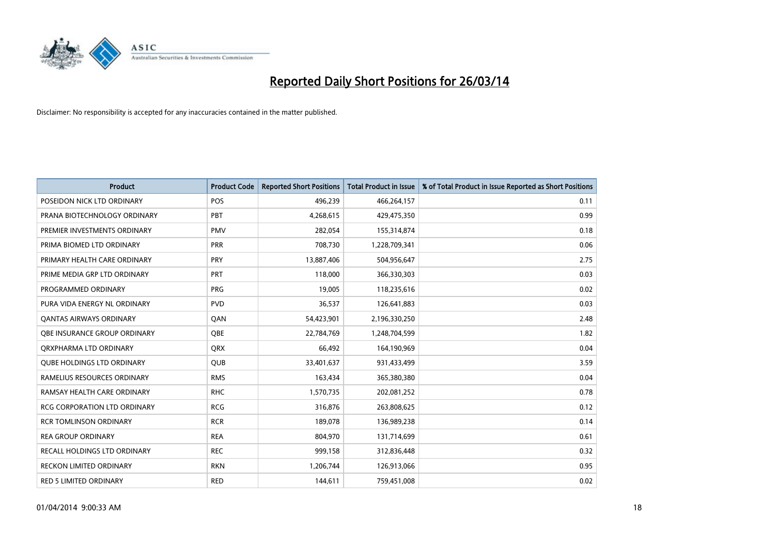

| <b>Product</b>                      | <b>Product Code</b> | <b>Reported Short Positions</b> | <b>Total Product in Issue</b> | % of Total Product in Issue Reported as Short Positions |
|-------------------------------------|---------------------|---------------------------------|-------------------------------|---------------------------------------------------------|
| POSEIDON NICK LTD ORDINARY          | <b>POS</b>          | 496,239                         | 466,264,157                   | 0.11                                                    |
| PRANA BIOTECHNOLOGY ORDINARY        | <b>PBT</b>          | 4,268,615                       | 429,475,350                   | 0.99                                                    |
| PREMIER INVESTMENTS ORDINARY        | <b>PMV</b>          | 282,054                         | 155,314,874                   | 0.18                                                    |
| PRIMA BIOMED LTD ORDINARY           | <b>PRR</b>          | 708,730                         | 1,228,709,341                 | 0.06                                                    |
| PRIMARY HEALTH CARE ORDINARY        | <b>PRY</b>          | 13,887,406                      | 504,956,647                   | 2.75                                                    |
| PRIME MEDIA GRP LTD ORDINARY        | <b>PRT</b>          | 118,000                         | 366,330,303                   | 0.03                                                    |
| PROGRAMMED ORDINARY                 | <b>PRG</b>          | 19,005                          | 118,235,616                   | 0.02                                                    |
| PURA VIDA ENERGY NL ORDINARY        | <b>PVD</b>          | 36,537                          | 126,641,883                   | 0.03                                                    |
| <b>QANTAS AIRWAYS ORDINARY</b>      | QAN                 | 54,423,901                      | 2,196,330,250                 | 2.48                                                    |
| OBE INSURANCE GROUP ORDINARY        | <b>OBE</b>          | 22,784,769                      | 1,248,704,599                 | 1.82                                                    |
| ORXPHARMA LTD ORDINARY              | <b>QRX</b>          | 66,492                          | 164,190,969                   | 0.04                                                    |
| <b>QUBE HOLDINGS LTD ORDINARY</b>   | QUB                 | 33,401,637                      | 931,433,499                   | 3.59                                                    |
| RAMELIUS RESOURCES ORDINARY         | <b>RMS</b>          | 163,434                         | 365,380,380                   | 0.04                                                    |
| RAMSAY HEALTH CARE ORDINARY         | <b>RHC</b>          | 1,570,735                       | 202,081,252                   | 0.78                                                    |
| <b>RCG CORPORATION LTD ORDINARY</b> | <b>RCG</b>          | 316,876                         | 263,808,625                   | 0.12                                                    |
| <b>RCR TOMLINSON ORDINARY</b>       | <b>RCR</b>          | 189,078                         | 136,989,238                   | 0.14                                                    |
| <b>REA GROUP ORDINARY</b>           | <b>REA</b>          | 804,970                         | 131,714,699                   | 0.61                                                    |
| <b>RECALL HOLDINGS LTD ORDINARY</b> | <b>REC</b>          | 999,158                         | 312,836,448                   | 0.32                                                    |
| <b>RECKON LIMITED ORDINARY</b>      | <b>RKN</b>          | 1,206,744                       | 126,913,066                   | 0.95                                                    |
| RED 5 LIMITED ORDINARY              | <b>RED</b>          | 144,611                         | 759,451,008                   | 0.02                                                    |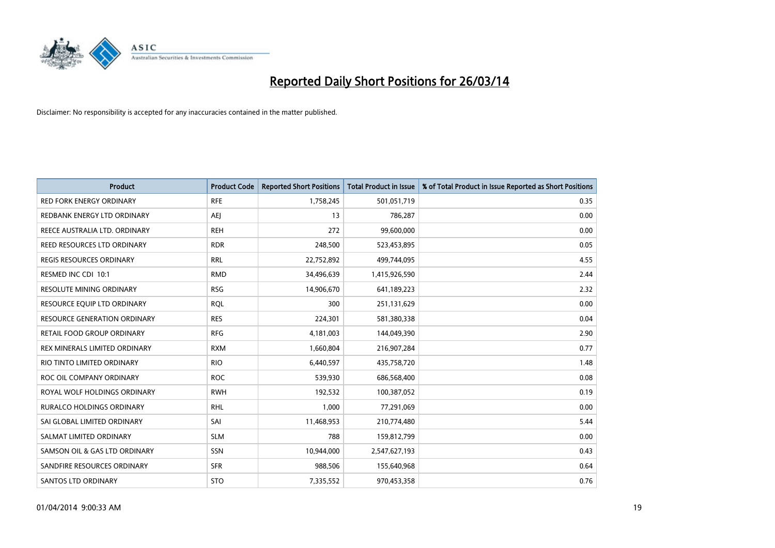

| <b>Product</b>                      | <b>Product Code</b> | <b>Reported Short Positions</b> | <b>Total Product in Issue</b> | % of Total Product in Issue Reported as Short Positions |
|-------------------------------------|---------------------|---------------------------------|-------------------------------|---------------------------------------------------------|
| <b>RED FORK ENERGY ORDINARY</b>     | <b>RFE</b>          | 1,758,245                       | 501,051,719                   | 0.35                                                    |
| REDBANK ENERGY LTD ORDINARY         | AEJ                 | 13                              | 786,287                       | 0.00                                                    |
| REECE AUSTRALIA LTD. ORDINARY       | <b>REH</b>          | 272                             | 99,600,000                    | 0.00                                                    |
| REED RESOURCES LTD ORDINARY         | <b>RDR</b>          | 248,500                         | 523,453,895                   | 0.05                                                    |
| <b>REGIS RESOURCES ORDINARY</b>     | <b>RRL</b>          | 22,752,892                      | 499,744,095                   | 4.55                                                    |
| RESMED INC CDI 10:1                 | <b>RMD</b>          | 34,496,639                      | 1,415,926,590                 | 2.44                                                    |
| <b>RESOLUTE MINING ORDINARY</b>     | <b>RSG</b>          | 14,906,670                      | 641,189,223                   | 2.32                                                    |
| RESOURCE EQUIP LTD ORDINARY         | <b>RQL</b>          | 300                             | 251,131,629                   | 0.00                                                    |
| <b>RESOURCE GENERATION ORDINARY</b> | <b>RES</b>          | 224,301                         | 581,380,338                   | 0.04                                                    |
| <b>RETAIL FOOD GROUP ORDINARY</b>   | <b>RFG</b>          | 4,181,003                       | 144,049,390                   | 2.90                                                    |
| REX MINERALS LIMITED ORDINARY       | <b>RXM</b>          | 1,660,804                       | 216,907,284                   | 0.77                                                    |
| RIO TINTO LIMITED ORDINARY          | <b>RIO</b>          | 6,440,597                       | 435,758,720                   | 1.48                                                    |
| ROC OIL COMPANY ORDINARY            | <b>ROC</b>          | 539,930                         | 686,568,400                   | 0.08                                                    |
| ROYAL WOLF HOLDINGS ORDINARY        | <b>RWH</b>          | 192,532                         | 100,387,052                   | 0.19                                                    |
| <b>RURALCO HOLDINGS ORDINARY</b>    | <b>RHL</b>          | 1,000                           | 77,291,069                    | 0.00                                                    |
| SAI GLOBAL LIMITED ORDINARY         | SAI                 | 11,468,953                      | 210,774,480                   | 5.44                                                    |
| SALMAT LIMITED ORDINARY             | <b>SLM</b>          | 788                             | 159,812,799                   | 0.00                                                    |
| SAMSON OIL & GAS LTD ORDINARY       | <b>SSN</b>          | 10,944,000                      | 2,547,627,193                 | 0.43                                                    |
| SANDFIRE RESOURCES ORDINARY         | <b>SFR</b>          | 988,506                         | 155,640,968                   | 0.64                                                    |
| <b>SANTOS LTD ORDINARY</b>          | <b>STO</b>          | 7,335,552                       | 970,453,358                   | 0.76                                                    |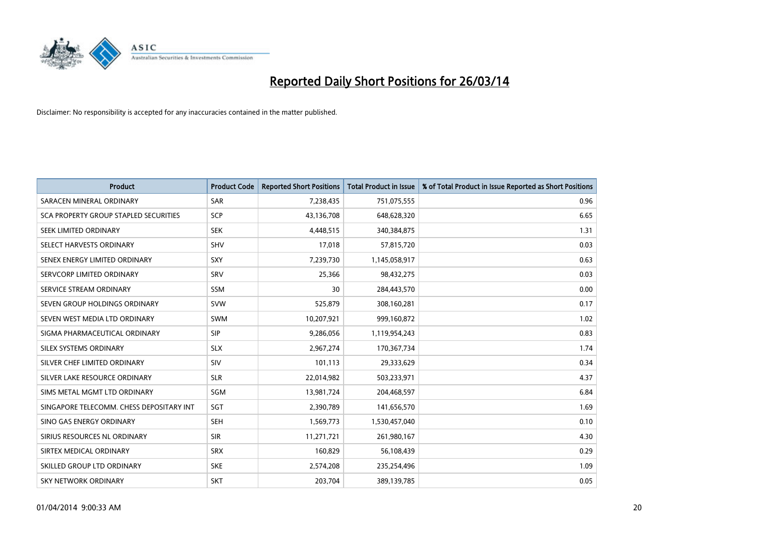

| <b>Product</b>                           | <b>Product Code</b> | <b>Reported Short Positions</b> | <b>Total Product in Issue</b> | % of Total Product in Issue Reported as Short Positions |
|------------------------------------------|---------------------|---------------------------------|-------------------------------|---------------------------------------------------------|
| SARACEN MINERAL ORDINARY                 | <b>SAR</b>          | 7,238,435                       | 751,075,555                   | 0.96                                                    |
| SCA PROPERTY GROUP STAPLED SECURITIES    | <b>SCP</b>          | 43,136,708                      | 648,628,320                   | 6.65                                                    |
| SEEK LIMITED ORDINARY                    | <b>SEK</b>          | 4,448,515                       | 340,384,875                   | 1.31                                                    |
| SELECT HARVESTS ORDINARY                 | <b>SHV</b>          | 17,018                          | 57,815,720                    | 0.03                                                    |
| SENEX ENERGY LIMITED ORDINARY            | SXY                 | 7,239,730                       | 1,145,058,917                 | 0.63                                                    |
| SERVCORP LIMITED ORDINARY                | SRV                 | 25,366                          | 98,432,275                    | 0.03                                                    |
| SERVICE STREAM ORDINARY                  | SSM                 | 30                              | 284,443,570                   | 0.00                                                    |
| SEVEN GROUP HOLDINGS ORDINARY            | <b>SVW</b>          | 525,879                         | 308,160,281                   | 0.17                                                    |
| SEVEN WEST MEDIA LTD ORDINARY            | <b>SWM</b>          | 10,207,921                      | 999,160,872                   | 1.02                                                    |
| SIGMA PHARMACEUTICAL ORDINARY            | <b>SIP</b>          | 9,286,056                       | 1,119,954,243                 | 0.83                                                    |
| SILEX SYSTEMS ORDINARY                   | <b>SLX</b>          | 2,967,274                       | 170,367,734                   | 1.74                                                    |
| SILVER CHEF LIMITED ORDINARY             | SIV                 | 101,113                         | 29,333,629                    | 0.34                                                    |
| SILVER LAKE RESOURCE ORDINARY            | <b>SLR</b>          | 22,014,982                      | 503,233,971                   | 4.37                                                    |
| SIMS METAL MGMT LTD ORDINARY             | SGM                 | 13,981,724                      | 204,468,597                   | 6.84                                                    |
| SINGAPORE TELECOMM. CHESS DEPOSITARY INT | SGT                 | 2,390,789                       | 141,656,570                   | 1.69                                                    |
| SINO GAS ENERGY ORDINARY                 | SEH                 | 1,569,773                       | 1,530,457,040                 | 0.10                                                    |
| SIRIUS RESOURCES NL ORDINARY             | <b>SIR</b>          | 11,271,721                      | 261,980,167                   | 4.30                                                    |
| SIRTEX MEDICAL ORDINARY                  | <b>SRX</b>          | 160,829                         | 56,108,439                    | 0.29                                                    |
| SKILLED GROUP LTD ORDINARY               | <b>SKE</b>          | 2,574,208                       | 235,254,496                   | 1.09                                                    |
| SKY NETWORK ORDINARY                     | <b>SKT</b>          | 203,704                         | 389,139,785                   | 0.05                                                    |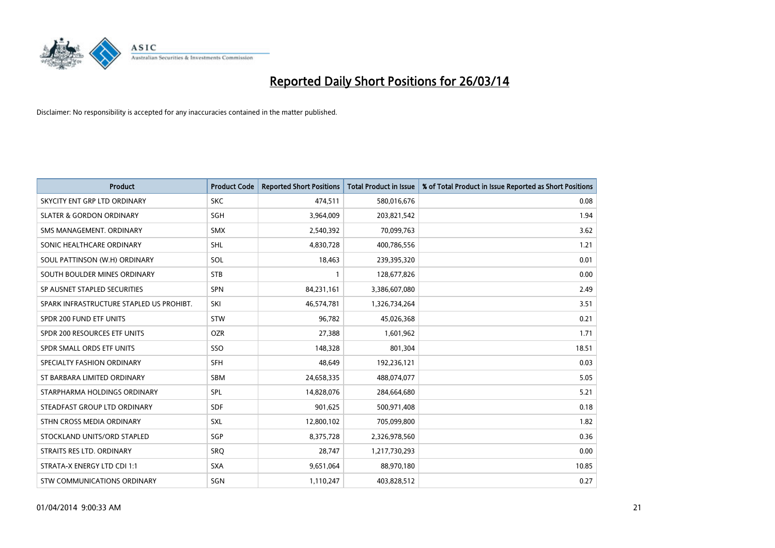

| <b>Product</b>                           | <b>Product Code</b> | <b>Reported Short Positions</b> | <b>Total Product in Issue</b> | % of Total Product in Issue Reported as Short Positions |
|------------------------------------------|---------------------|---------------------------------|-------------------------------|---------------------------------------------------------|
| SKYCITY ENT GRP LTD ORDINARY             | <b>SKC</b>          | 474,511                         | 580,016,676                   | 0.08                                                    |
| <b>SLATER &amp; GORDON ORDINARY</b>      | SGH                 | 3,964,009                       | 203,821,542                   | 1.94                                                    |
| SMS MANAGEMENT, ORDINARY                 | <b>SMX</b>          | 2,540,392                       | 70,099,763                    | 3.62                                                    |
| SONIC HEALTHCARE ORDINARY                | SHL                 | 4,830,728                       | 400,786,556                   | 1.21                                                    |
| SOUL PATTINSON (W.H) ORDINARY            | SOL                 | 18,463                          | 239,395,320                   | 0.01                                                    |
| SOUTH BOULDER MINES ORDINARY             | <b>STB</b>          | $\mathbf{1}$                    | 128,677,826                   | 0.00                                                    |
| SP AUSNET STAPLED SECURITIES             | <b>SPN</b>          | 84,231,161                      | 3,386,607,080                 | 2.49                                                    |
| SPARK INFRASTRUCTURE STAPLED US PROHIBT. | SKI                 | 46,574,781                      | 1,326,734,264                 | 3.51                                                    |
| SPDR 200 FUND ETF UNITS                  | <b>STW</b>          | 96,782                          | 45,026,368                    | 0.21                                                    |
| SPDR 200 RESOURCES ETF UNITS             | <b>OZR</b>          | 27,388                          | 1,601,962                     | 1.71                                                    |
| SPDR SMALL ORDS ETF UNITS                | SSO                 | 148,328                         | 801,304                       | 18.51                                                   |
| SPECIALTY FASHION ORDINARY               | <b>SFH</b>          | 48,649                          | 192,236,121                   | 0.03                                                    |
| ST BARBARA LIMITED ORDINARY              | <b>SBM</b>          | 24,658,335                      | 488,074,077                   | 5.05                                                    |
| STARPHARMA HOLDINGS ORDINARY             | SPL                 | 14,828,076                      | 284,664,680                   | 5.21                                                    |
| STEADFAST GROUP LTD ORDINARY             | <b>SDF</b>          | 901,625                         | 500,971,408                   | 0.18                                                    |
| STHN CROSS MEDIA ORDINARY                | SXL                 | 12,800,102                      | 705,099,800                   | 1.82                                                    |
| STOCKLAND UNITS/ORD STAPLED              | SGP                 | 8,375,728                       | 2,326,978,560                 | 0.36                                                    |
| STRAITS RES LTD. ORDINARY                | <b>SRQ</b>          | 28,747                          | 1,217,730,293                 | 0.00                                                    |
| STRATA-X ENERGY LTD CDI 1:1              | <b>SXA</b>          | 9,651,064                       | 88,970,180                    | 10.85                                                   |
| STW COMMUNICATIONS ORDINARY              | SGN                 | 1,110,247                       | 403,828,512                   | 0.27                                                    |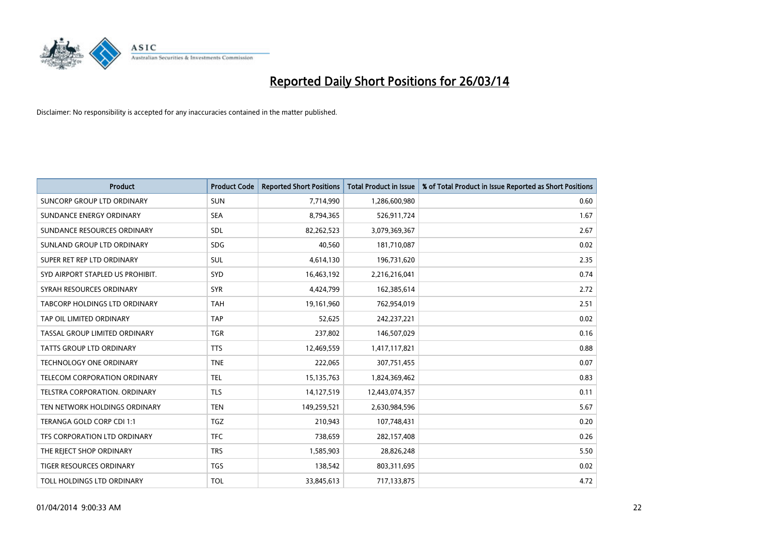

| <b>Product</b>                    | <b>Product Code</b> | <b>Reported Short Positions</b> | <b>Total Product in Issue</b> | % of Total Product in Issue Reported as Short Positions |
|-----------------------------------|---------------------|---------------------------------|-------------------------------|---------------------------------------------------------|
| <b>SUNCORP GROUP LTD ORDINARY</b> | <b>SUN</b>          | 7,714,990                       | 1,286,600,980                 | 0.60                                                    |
| SUNDANCE ENERGY ORDINARY          | <b>SEA</b>          | 8,794,365                       | 526,911,724                   | 1.67                                                    |
| SUNDANCE RESOURCES ORDINARY       | <b>SDL</b>          | 82,262,523                      | 3,079,369,367                 | 2.67                                                    |
| SUNLAND GROUP LTD ORDINARY        | <b>SDG</b>          | 40,560                          | 181,710,087                   | 0.02                                                    |
| SUPER RET REP LTD ORDINARY        | SUL                 | 4,614,130                       | 196,731,620                   | 2.35                                                    |
| SYD AIRPORT STAPLED US PROHIBIT.  | <b>SYD</b>          | 16,463,192                      | 2,216,216,041                 | 0.74                                                    |
| SYRAH RESOURCES ORDINARY          | <b>SYR</b>          | 4,424,799                       | 162,385,614                   | 2.72                                                    |
| TABCORP HOLDINGS LTD ORDINARY     | <b>TAH</b>          | 19,161,960                      | 762,954,019                   | 2.51                                                    |
| TAP OIL LIMITED ORDINARY          | <b>TAP</b>          | 52,625                          | 242,237,221                   | 0.02                                                    |
| TASSAL GROUP LIMITED ORDINARY     | <b>TGR</b>          | 237,802                         | 146,507,029                   | 0.16                                                    |
| TATTS GROUP LTD ORDINARY          | <b>TTS</b>          | 12,469,559                      | 1,417,117,821                 | 0.88                                                    |
| <b>TECHNOLOGY ONE ORDINARY</b>    | <b>TNE</b>          | 222,065                         | 307,751,455                   | 0.07                                                    |
| TELECOM CORPORATION ORDINARY      | <b>TEL</b>          | 15,135,763                      | 1,824,369,462                 | 0.83                                                    |
| TELSTRA CORPORATION, ORDINARY     | <b>TLS</b>          | 14,127,519                      | 12,443,074,357                | 0.11                                                    |
| TEN NETWORK HOLDINGS ORDINARY     | <b>TEN</b>          | 149,259,521                     | 2,630,984,596                 | 5.67                                                    |
| TERANGA GOLD CORP CDI 1:1         | <b>TGZ</b>          | 210,943                         | 107,748,431                   | 0.20                                                    |
| TFS CORPORATION LTD ORDINARY      | <b>TFC</b>          | 738,659                         | 282,157,408                   | 0.26                                                    |
| THE REJECT SHOP ORDINARY          | <b>TRS</b>          | 1,585,903                       | 28,826,248                    | 5.50                                                    |
| <b>TIGER RESOURCES ORDINARY</b>   | <b>TGS</b>          | 138,542                         | 803,311,695                   | 0.02                                                    |
| TOLL HOLDINGS LTD ORDINARY        | <b>TOL</b>          | 33,845,613                      | 717,133,875                   | 4.72                                                    |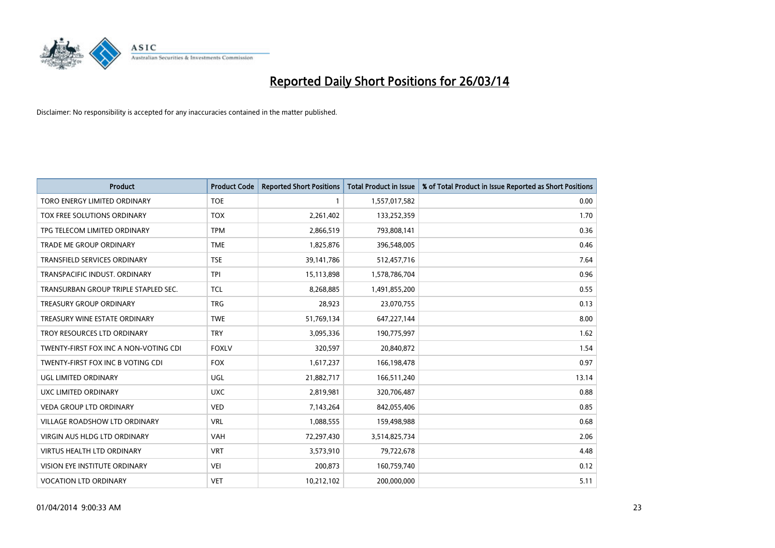

| <b>Product</b>                        | <b>Product Code</b> | <b>Reported Short Positions</b> | <b>Total Product in Issue</b> | % of Total Product in Issue Reported as Short Positions |
|---------------------------------------|---------------------|---------------------------------|-------------------------------|---------------------------------------------------------|
| <b>TORO ENERGY LIMITED ORDINARY</b>   | <b>TOE</b>          | 1                               | 1,557,017,582                 | 0.00                                                    |
| TOX FREE SOLUTIONS ORDINARY           | <b>TOX</b>          | 2,261,402                       | 133,252,359                   | 1.70                                                    |
| TPG TELECOM LIMITED ORDINARY          | <b>TPM</b>          | 2,866,519                       | 793,808,141                   | 0.36                                                    |
| TRADE ME GROUP ORDINARY               | <b>TME</b>          | 1,825,876                       | 396,548,005                   | 0.46                                                    |
| <b>TRANSFIELD SERVICES ORDINARY</b>   | <b>TSE</b>          | 39,141,786                      | 512,457,716                   | 7.64                                                    |
| TRANSPACIFIC INDUST, ORDINARY         | <b>TPI</b>          | 15,113,898                      | 1,578,786,704                 | 0.96                                                    |
| TRANSURBAN GROUP TRIPLE STAPLED SEC.  | <b>TCL</b>          | 8,268,885                       | 1,491,855,200                 | 0.55                                                    |
| <b>TREASURY GROUP ORDINARY</b>        | <b>TRG</b>          | 28,923                          | 23,070,755                    | 0.13                                                    |
| TREASURY WINE ESTATE ORDINARY         | <b>TWE</b>          | 51,769,134                      | 647,227,144                   | 8.00                                                    |
| TROY RESOURCES LTD ORDINARY           | <b>TRY</b>          | 3,095,336                       | 190,775,997                   | 1.62                                                    |
| TWENTY-FIRST FOX INC A NON-VOTING CDI | <b>FOXLV</b>        | 320,597                         | 20,840,872                    | 1.54                                                    |
| TWENTY-FIRST FOX INC B VOTING CDI     | <b>FOX</b>          | 1,617,237                       | 166,198,478                   | 0.97                                                    |
| <b>UGL LIMITED ORDINARY</b>           | UGL                 | 21,882,717                      | 166,511,240                   | 13.14                                                   |
| <b>UXC LIMITED ORDINARY</b>           | <b>UXC</b>          | 2,819,981                       | 320,706,487                   | 0.88                                                    |
| VEDA GROUP LTD ORDINARY               | <b>VED</b>          | 7,143,264                       | 842,055,406                   | 0.85                                                    |
| <b>VILLAGE ROADSHOW LTD ORDINARY</b>  | <b>VRL</b>          | 1,088,555                       | 159,498,988                   | 0.68                                                    |
| VIRGIN AUS HLDG LTD ORDINARY          | <b>VAH</b>          | 72,297,430                      | 3,514,825,734                 | 2.06                                                    |
| <b>VIRTUS HEALTH LTD ORDINARY</b>     | <b>VRT</b>          | 3,573,910                       | 79,722,678                    | 4.48                                                    |
| VISION EYE INSTITUTE ORDINARY         | <b>VEI</b>          | 200,873                         | 160,759,740                   | 0.12                                                    |
| <b>VOCATION LTD ORDINARY</b>          | <b>VET</b>          | 10,212,102                      | 200,000,000                   | 5.11                                                    |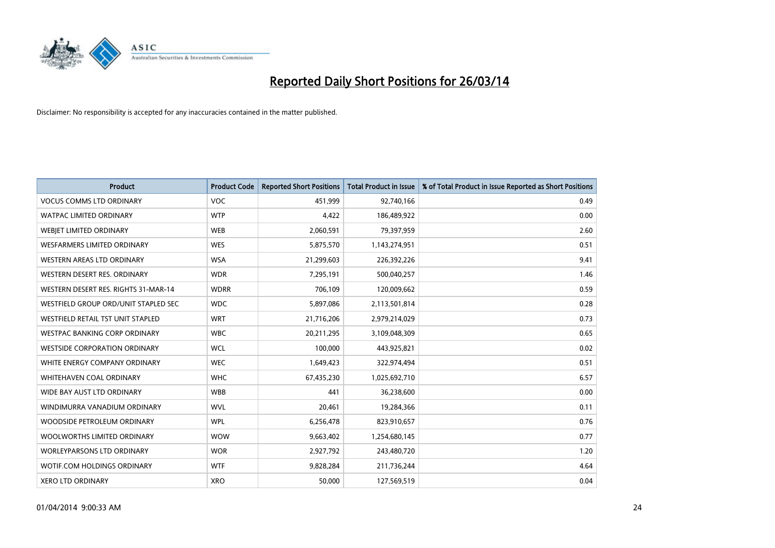

| <b>Product</b>                       | <b>Product Code</b> | <b>Reported Short Positions</b> | <b>Total Product in Issue</b> | % of Total Product in Issue Reported as Short Positions |
|--------------------------------------|---------------------|---------------------------------|-------------------------------|---------------------------------------------------------|
| <b>VOCUS COMMS LTD ORDINARY</b>      | <b>VOC</b>          | 451,999                         | 92,740,166                    | 0.49                                                    |
| <b>WATPAC LIMITED ORDINARY</b>       | <b>WTP</b>          | 4,422                           | 186,489,922                   | 0.00                                                    |
| WEBJET LIMITED ORDINARY              | <b>WEB</b>          | 2,060,591                       | 79,397,959                    | 2.60                                                    |
| WESFARMERS LIMITED ORDINARY          | <b>WES</b>          | 5,875,570                       | 1,143,274,951                 | 0.51                                                    |
| WESTERN AREAS LTD ORDINARY           | <b>WSA</b>          | 21,299,603                      | 226,392,226                   | 9.41                                                    |
| WESTERN DESERT RES. ORDINARY         | <b>WDR</b>          | 7,295,191                       | 500,040,257                   | 1.46                                                    |
| WESTERN DESERT RES. RIGHTS 31-MAR-14 | <b>WDRR</b>         | 706,109                         | 120,009,662                   | 0.59                                                    |
| WESTFIELD GROUP ORD/UNIT STAPLED SEC | <b>WDC</b>          | 5,897,086                       | 2,113,501,814                 | 0.28                                                    |
| WESTFIELD RETAIL TST UNIT STAPLED    | <b>WRT</b>          | 21,716,206                      | 2,979,214,029                 | 0.73                                                    |
| WESTPAC BANKING CORP ORDINARY        | <b>WBC</b>          | 20,211,295                      | 3,109,048,309                 | 0.65                                                    |
| <b>WESTSIDE CORPORATION ORDINARY</b> | <b>WCL</b>          | 100,000                         | 443,925,821                   | 0.02                                                    |
| WHITE ENERGY COMPANY ORDINARY        | <b>WEC</b>          | 1,649,423                       | 322,974,494                   | 0.51                                                    |
| WHITEHAVEN COAL ORDINARY             | <b>WHC</b>          | 67,435,230                      | 1,025,692,710                 | 6.57                                                    |
| WIDE BAY AUST LTD ORDINARY           | <b>WBB</b>          | 441                             | 36,238,600                    | 0.00                                                    |
| WINDIMURRA VANADIUM ORDINARY         | <b>WVL</b>          | 20,461                          | 19,284,366                    | 0.11                                                    |
| WOODSIDE PETROLEUM ORDINARY          | <b>WPL</b>          | 6,256,478                       | 823,910,657                   | 0.76                                                    |
| WOOLWORTHS LIMITED ORDINARY          | <b>WOW</b>          | 9,663,402                       | 1,254,680,145                 | 0.77                                                    |
| WORLEYPARSONS LTD ORDINARY           | <b>WOR</b>          | 2,927,792                       | 243,480,720                   | 1.20                                                    |
| WOTIF.COM HOLDINGS ORDINARY          | <b>WTF</b>          | 9,828,284                       | 211,736,244                   | 4.64                                                    |
| <b>XERO LTD ORDINARY</b>             | <b>XRO</b>          | 50,000                          | 127,569,519                   | 0.04                                                    |